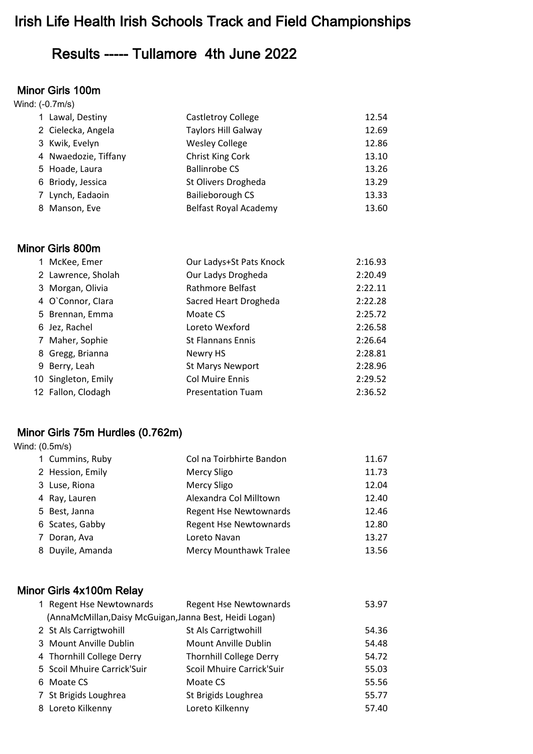# Irish Life Health Irish Schools Track and Field Championships

# Results ----- Tullamore 4th June 2022

#### Minor Girls 100m

|   | Wind: (-0.7m/s)      |                            |       |  |  |
|---|----------------------|----------------------------|-------|--|--|
|   | 1 Lawal, Destiny     | <b>Castletroy College</b>  | 12.54 |  |  |
|   | 2 Cielecka, Angela   | <b>Taylors Hill Galway</b> | 12.69 |  |  |
|   | 3 Kwik, Evelyn       | <b>Wesley College</b>      | 12.86 |  |  |
|   | 4 Nwaedozie, Tiffany | Christ King Cork           | 13.10 |  |  |
|   | 5 Hoade, Laura       | <b>Ballinrobe CS</b>       | 13.26 |  |  |
|   | 6 Briody, Jessica    | St Olivers Drogheda        | 13.29 |  |  |
|   | 7 Lynch, Eadaoin     | Bailieborough CS           | 13.33 |  |  |
| 8 | Manson, Eve          | Belfast Royal Academy      | 13.60 |  |  |

#### Minor Girls 800m

| 1 McKee, Emer       | Our Ladys+St Pats Knock  | 2:16.93 |
|---------------------|--------------------------|---------|
| 2 Lawrence, Sholah  | Our Ladys Drogheda       | 2:20.49 |
| 3 Morgan, Olivia    | Rathmore Belfast         | 2:22.11 |
| 4 O'Connor, Clara   | Sacred Heart Drogheda    | 2:22.28 |
| 5 Brennan, Emma     | Moate CS                 | 2:25.72 |
| 6 Jez, Rachel       | Loreto Wexford           | 2:26.58 |
| 7 Maher, Sophie     | <b>St Flannans Ennis</b> | 2:26.64 |
| 8 Gregg, Brianna    | Newry HS                 | 2:28.81 |
| 9 Berry, Leah       | <b>St Marys Newport</b>  | 2:28.96 |
| 10 Singleton, Emily | <b>Col Muire Ennis</b>   | 2:29.52 |
| 12 Fallon, Clodagh  | <b>Presentation Tuam</b> | 2:36.52 |

# Minor Girls 75m Hurdles (0.762m)

Wind: (0.5m/s)

|   | 1 Cummins, Ruby  | Col na Toirbhirte Bandon      | 11.67 |
|---|------------------|-------------------------------|-------|
|   | 2 Hession, Emily | <b>Mercy Sligo</b>            | 11.73 |
|   | 3 Luse, Riona    | <b>Mercy Sligo</b>            | 12.04 |
|   | 4 Ray, Lauren    | Alexandra Col Milltown        | 12.40 |
|   | 5 Best, Janna    | <b>Regent Hse Newtownards</b> | 12.46 |
|   | 6 Scates, Gabby  | <b>Regent Hse Newtownards</b> | 12.80 |
| 7 | Doran, Ava       | Loreto Navan                  | 13.27 |
|   | 8 Duyile, Amanda | <b>Mercy Mounthawk Tralee</b> | 13.56 |

# Minor Girls 4x100m Relay

| 1 Regent Hse Newtownards                                | <b>Regent Hse Newtownards</b>  | 53.97 |
|---------------------------------------------------------|--------------------------------|-------|
| (AnnaMcMillan, Daisy McGuigan, Janna Best, Heidi Logan) |                                |       |
| 2 St Als Carrigtwohill                                  | St Als Carrigtwohill           | 54.36 |
| 3 Mount Anville Dublin                                  | Mount Anville Dublin           | 54.48 |
| 4 Thornhill College Derry                               | <b>Thornhill College Derry</b> | 54.72 |
| 5 Scoil Mhuire Carrick'Suir                             | Scoil Mhuire Carrick'Suir      | 55.03 |
| 6 Moate CS                                              | Moate CS                       | 55.56 |
| 7 St Brigids Loughrea                                   | St Brigids Loughrea            | 55.77 |
| 8 Loreto Kilkenny                                       | Loreto Kilkenny                | 57.40 |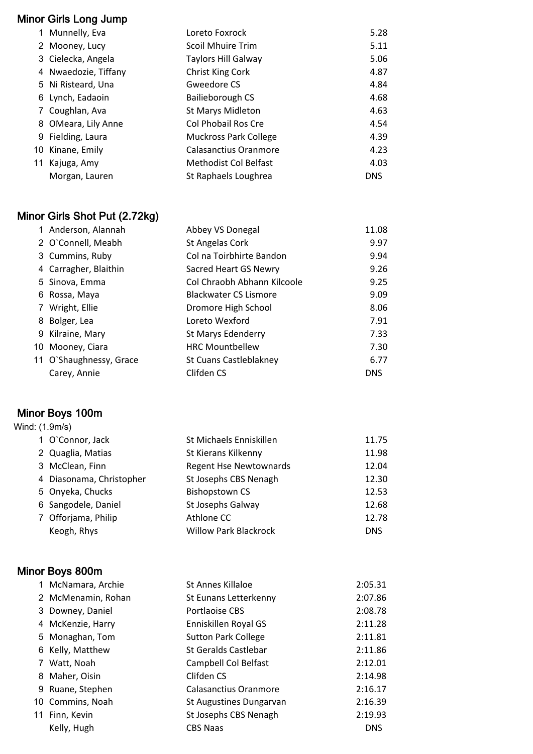# Minor Girls Long Jump

| 1 Munnelly, Eva      | Loreto Foxrock               | 5.28       |
|----------------------|------------------------------|------------|
| 2 Mooney, Lucy       | <b>Scoil Mhuire Trim</b>     | 5.11       |
| 3 Cielecka, Angela   | Taylors Hill Galway          | 5.06       |
| 4 Nwaedozie, Tiffany | Christ King Cork             | 4.87       |
| 5 Ni Risteard, Una   | Gweedore CS                  | 4.84       |
| 6 Lynch, Eadaoin     | Bailieborough CS             | 4.68       |
| 7 Coughlan, Ava      | <b>St Marys Midleton</b>     | 4.63       |
| 8 OMeara, Lily Anne  | Col Phobail Ros Cre          | 4.54       |
| 9 Fielding, Laura    | <b>Muckross Park College</b> | 4.39       |
| 10 Kinane, Emily     | Calasanctius Oranmore        | 4.23       |
| 11 Kajuga, Amy       | Methodist Col Belfast        | 4.03       |
| Morgan, Lauren       | St Raphaels Loughrea         | <b>DNS</b> |
|                      |                              |            |

# Minor Girls Shot Put (2.72kg)

| 1 Anderson, Alannah     | Abbey VS Donegal             | 11.08      |
|-------------------------|------------------------------|------------|
| 2 O'Connell, Meabh      | St Angelas Cork              | 9.97       |
| 3 Cummins, Ruby         | Col na Toirbhirte Bandon     | 9.94       |
| 4 Carragher, Blaithin   | Sacred Heart GS Newry        | 9.26       |
| 5 Sinova, Emma          | Col Chraobh Abhann Kilcoole  | 9.25       |
| 6 Rossa, Maya           | <b>Blackwater CS Lismore</b> | 9.09       |
| 7 Wright, Ellie         | Dromore High School          | 8.06       |
| 8 Bolger, Lea           | Loreto Wexford               | 7.91       |
| 9 Kilraine, Mary        | St Marys Edenderry           | 7.33       |
| 10 Mooney, Ciara        | <b>HRC Mountbellew</b>       | 7.30       |
| 11 O'Shaughnessy, Grace | St Cuans Castleblakney       | 6.77       |
| Carey, Annie            | Clifden CS                   | <b>DNS</b> |

# Minor Boys 100m

| Wind: (1.9m/s) |                          |                               |            |
|----------------|--------------------------|-------------------------------|------------|
|                | 1 O'Connor, Jack         | St Michaels Enniskillen       | 11.75      |
|                | 2 Quaglia, Matias        | St Kierans Kilkenny           | 11.98      |
|                | 3 McClean, Finn          | <b>Regent Hse Newtownards</b> | 12.04      |
|                | 4 Diasonama, Christopher | St Josephs CBS Nenagh         | 12.30      |
|                | 5 Onyeka, Chucks         | <b>Bishopstown CS</b>         | 12.53      |
|                | 6 Sangodele, Daniel      | St Josephs Galway             | 12.68      |
|                | 7 Offorjama, Philip      | Athlone CC                    | 12.78      |
|                | Keogh, Rhys              | <b>Willow Park Blackrock</b>  | <b>DNS</b> |

# Minor Boys 800m

| 1 McNamara, Archie | St Annes Killaloe          | 2:05.31    |
|--------------------|----------------------------|------------|
| 2 McMenamin, Rohan | St Eunans Letterkenny      | 2:07.86    |
| 3 Downey, Daniel   | Portlaoise CBS             | 2:08.78    |
| 4 McKenzie, Harry  | Enniskillen Royal GS       | 2:11.28    |
| 5 Monaghan, Tom    | <b>Sutton Park College</b> | 2:11.81    |
| 6 Kelly, Matthew   | St Geralds Castlebar       | 2:11.86    |
| 7 Watt, Noah       | Campbell Col Belfast       | 2:12.01    |
| 8 Maher, Oisin     | Clifden CS                 | 2:14.98    |
| 9 Ruane, Stephen   | Calasanctius Oranmore      | 2:16.17    |
| 10 Commins, Noah   | St Augustines Dungarvan    | 2:16.39    |
| 11 Finn, Kevin     | St Josephs CBS Nenagh      | 2:19.93    |
| Kelly, Hugh        | <b>CBS Naas</b>            | <b>DNS</b> |
|                    |                            |            |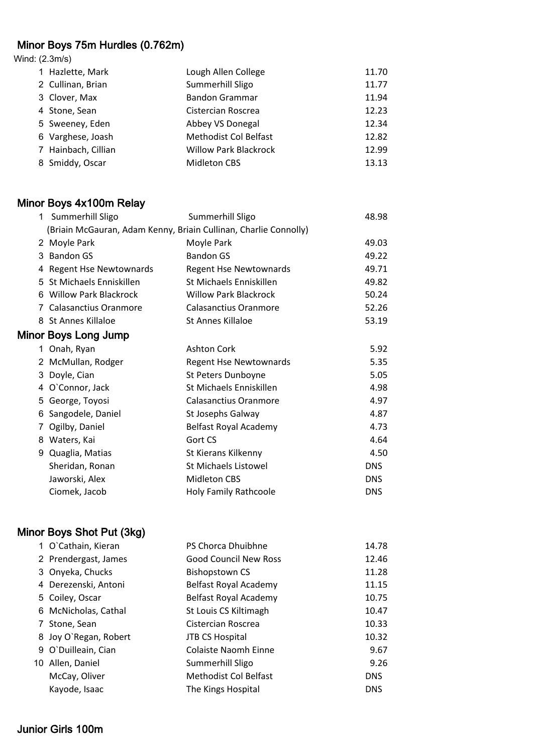# Minor Boys 75m Hurdles (0.762m)

Wind: (2.3m/s)

| 1 Hazlette, Mark    | Lough Allen College          | 11.70 |
|---------------------|------------------------------|-------|
| 2 Cullinan, Brian   | Summerhill Sligo             | 11.77 |
| 3 Clover, Max       | <b>Bandon Grammar</b>        | 11.94 |
| 4 Stone, Sean       | Cistercian Roscrea           | 12.23 |
| 5 Sweeney, Eden     | Abbey VS Donegal             | 12.34 |
| 6 Varghese, Joash   | <b>Methodist Col Belfast</b> | 12.82 |
| 7 Hainbach, Cillian | <b>Willow Park Blackrock</b> | 12.99 |
| 8 Smiddy, Oscar     | <b>Midleton CBS</b>          | 13.13 |

#### Minor Boys 4x100m Relay

| 1 | Summerhill Sligo                                                 | Summerhill Sligo              | 48.98      |
|---|------------------------------------------------------------------|-------------------------------|------------|
|   | (Briain McGauran, Adam Kenny, Briain Cullinan, Charlie Connolly) |                               |            |
|   | 2 Moyle Park                                                     | Moyle Park                    | 49.03      |
|   | 3 Bandon GS                                                      | <b>Bandon GS</b>              | 49.22      |
|   | 4 Regent Hse Newtownards                                         | <b>Regent Hse Newtownards</b> | 49.71      |
|   | 5 St Michaels Enniskillen                                        | St Michaels Enniskillen       | 49.82      |
|   | 6 Willow Park Blackrock                                          | <b>Willow Park Blackrock</b>  | 50.24      |
|   | 7 Calasanctius Oranmore                                          | <b>Calasanctius Oranmore</b>  | 52.26      |
|   | 8 St Annes Killaloe                                              | St Annes Killaloe             | 53.19      |
|   | Minor Boys Long Jump                                             |                               |            |
|   | 1 Onah, Ryan                                                     | <b>Ashton Cork</b>            | 5.92       |
|   | 2 McMullan, Rodger                                               | Regent Hse Newtownards        | 5.35       |
|   | 3 Doyle, Cian                                                    | St Peters Dunboyne            | 5.05       |
|   | 4 O'Connor, Jack                                                 | St Michaels Enniskillen       | 4.98       |
|   | 5 George, Toyosi                                                 | <b>Calasanctius Oranmore</b>  | 4.97       |
| 6 | Sangodele, Daniel                                                | St Josephs Galway             | 4.87       |
|   | Ogilby, Daniel                                                   | Belfast Royal Academy         | 4.73       |
|   | 8 Waters, Kai                                                    | Gort CS                       | 4.64       |
|   | 9 Quaglia, Matias                                                | St Kierans Kilkenny           | 4.50       |
|   | Sheridan, Ronan                                                  | St Michaels Listowel          | <b>DNS</b> |
|   | Jaworski, Alex                                                   | <b>Midleton CBS</b>           | <b>DNS</b> |
|   | Ciomek, Jacob                                                    | Holy Family Rathcoole         | <b>DNS</b> |

#### Minor Boys Shot Put (3kg)

| 1 O'Cathain, Kieran   | PS Chorca Dhuibhne           | 14.78      |
|-----------------------|------------------------------|------------|
| 2 Prendergast, James  | <b>Good Council New Ross</b> | 12.46      |
| 3 Onyeka, Chucks      | <b>Bishopstown CS</b>        | 11.28      |
| 4 Derezenski, Antoni  | Belfast Royal Academy        | 11.15      |
| 5 Coiley, Oscar       | Belfast Royal Academy        | 10.75      |
| 6 McNicholas, Cathal  | St Louis CS Kiltimagh        | 10.47      |
| 7 Stone, Sean         | Cistercian Roscrea           | 10.33      |
| 8 Joy O'Regan, Robert | <b>JTB CS Hospital</b>       | 10.32      |
| 9 O'Duilleain, Cian   | <b>Colaiste Naomh Einne</b>  | 9.67       |
| 10 Allen, Daniel      | Summerhill Sligo             | 9.26       |
| McCay, Oliver         | <b>Methodist Col Belfast</b> | <b>DNS</b> |
| Kayode, Isaac         | The Kings Hospital           | <b>DNS</b> |
|                       |                              |            |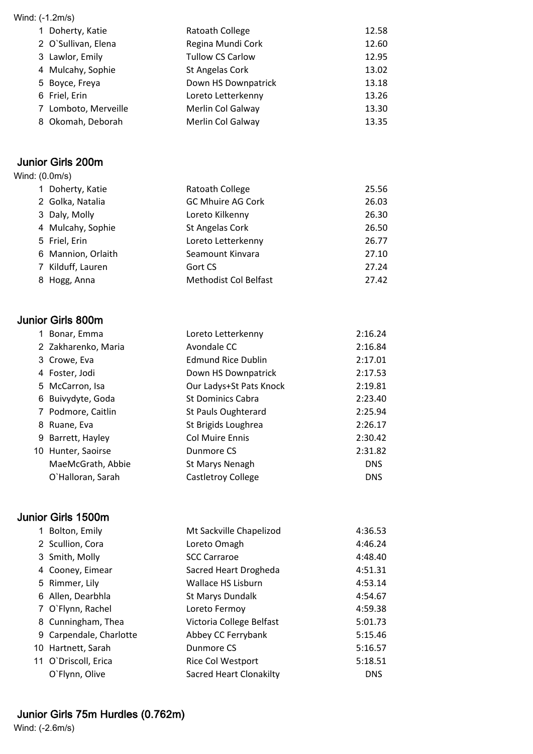| Wind: (-1.2m/s) |                      |                          |       |  |
|-----------------|----------------------|--------------------------|-------|--|
|                 | 1 Doherty, Katie     | Ratoath College          | 12.58 |  |
|                 | 2 O'Sullivan, Elena  | Regina Mundi Cork        | 12.60 |  |
|                 | 3 Lawlor, Emily      | <b>Tullow CS Carlow</b>  | 12.95 |  |
|                 | 4 Mulcahy, Sophie    | St Angelas Cork          | 13.02 |  |
|                 | 5 Boyce, Freya       | Down HS Downpatrick      | 13.18 |  |
|                 | 6 Friel, Erin        | Loreto Letterkenny       | 13.26 |  |
|                 | 7 Lomboto, Merveille | <b>Merlin Col Galway</b> | 13.30 |  |
|                 | 8 Okomah, Deborah    | <b>Merlin Col Galway</b> | 13.35 |  |

#### Junior Girls 200m

| Wind: (0.0m/s) |                    |                              |       |
|----------------|--------------------|------------------------------|-------|
|                | 1 Doherty, Katie   | Ratoath College              | 25.56 |
|                | 2 Golka, Natalia   | <b>GC Mhuire AG Cork</b>     | 26.03 |
|                | 3 Daly, Molly      | Loreto Kilkenny              | 26.30 |
|                | 4 Mulcahy, Sophie  | St Angelas Cork              | 26.50 |
|                | 5 Friel, Erin      | Loreto Letterkenny           | 26.77 |
|                | 6 Mannion, Orlaith | Seamount Kinvara             | 27.10 |
|                | 7 Kilduff, Lauren  | Gort CS                      | 27.24 |
|                | 8 Hogg, Anna       | <b>Methodist Col Belfast</b> | 27.42 |

# Junior Girls 800m

| 1 Bonar, Emma       | Loreto Letterkenny        | 2:16.24    |
|---------------------|---------------------------|------------|
| 2 Zakharenko, Maria | Avondale CC               | 2:16.84    |
| 3 Crowe, Eva        | <b>Edmund Rice Dublin</b> | 2:17.01    |
| 4 Foster, Jodi      | Down HS Downpatrick       | 2:17.53    |
| 5 McCarron, Isa     | Our Ladys+St Pats Knock   | 2:19.81    |
| 6 Buivydyte, Goda   | <b>St Dominics Cabra</b>  | 2:23.40    |
| 7 Podmore, Caitlin  | St Pauls Oughterard       | 2:25.94    |
| 8 Ruane, Eva        | St Brigids Loughrea       | 2:26.17    |
| 9 Barrett, Hayley   | <b>Col Muire Ennis</b>    | 2:30.42    |
| 10 Hunter, Saoirse  | Dunmore CS                | 2:31.82    |
| MaeMcGrath, Abbie   | St Marys Nenagh           | <b>DNS</b> |
| O'Halloran, Sarah   | Castletroy College        | <b>DNS</b> |
|                     |                           |            |

# Junior Girls 1500m

| 1 Bolton, Emily         | Mt Sackville Chapelizod        | 4:36.53    |
|-------------------------|--------------------------------|------------|
| 2 Scullion, Cora        | Loreto Omagh                   | 4:46.24    |
| 3 Smith, Molly          | <b>SCC Carraroe</b>            | 4:48.40    |
| 4 Cooney, Eimear        | Sacred Heart Drogheda          | 4:51.31    |
| 5 Rimmer, Lily          | Wallace HS Lisburn             | 4:53.14    |
| 6 Allen, Dearbhla       | St Marys Dundalk               | 4:54.67    |
| 7 O`Flynn, Rachel       | Loreto Fermoy                  | 4:59.38    |
| 8 Cunningham, Thea      | Victoria College Belfast       | 5:01.73    |
| 9 Carpendale, Charlotte | Abbey CC Ferrybank             | 5:15.46    |
| 10 Hartnett, Sarah      | Dunmore CS                     | 5:16.57    |
| 11 O'Driscoll, Erica    | Rice Col Westport              | 5:18.51    |
| O`Flynn, Olive          | <b>Sacred Heart Clonakilty</b> | <b>DNS</b> |

# Junior Girls 75m Hurdles (0.762m)

Wind: (-2.6m/s)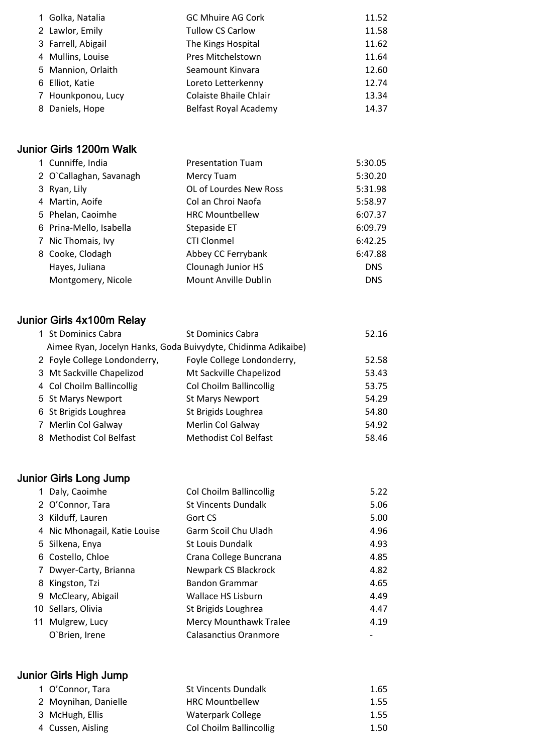| 1 Golka, Natalia   | <b>GC Mhuire AG Cork</b>      | 11.52 |
|--------------------|-------------------------------|-------|
| 2 Lawlor, Emily    | <b>Tullow CS Carlow</b>       | 11.58 |
| 3 Farrell, Abigail | The Kings Hospital            | 11.62 |
| 4 Mullins, Louise  | Pres Mitchelstown             | 11.64 |
| 5 Mannion, Orlaith | Seamount Kinvara              | 12.60 |
| 6 Elliot, Katie    | Loreto Letterkenny            | 12.74 |
| 7 Hounkponou, Lucy | <b>Colaiste Bhaile Chlair</b> | 13.34 |
| 8 Daniels, Hope    | Belfast Royal Academy         | 14.37 |

# Junior Girls 1200m Walk

|  | 1 Cunniffe, India       | <b>Presentation Tuam</b> | 5:30.05    |
|--|-------------------------|--------------------------|------------|
|  | 2 O'Callaghan, Savanagh | Mercy Tuam               | 5:30.20    |
|  | 3 Ryan, Lily            | OL of Lourdes New Ross   | 5:31.98    |
|  | 4 Martin, Aoife         | Col an Chroi Naofa       | 5:58.97    |
|  | 5 Phelan, Caoimhe       | <b>HRC Mountbellew</b>   | 6:07.37    |
|  | 6 Prina-Mello, Isabella | Stepaside ET             | 6:09.79    |
|  | 7 Nic Thomais, Ivy      | <b>CTI Clonmel</b>       | 6:42.25    |
|  | 8 Cooke, Clodagh        | Abbey CC Ferrybank       | 6:47.88    |
|  | Hayes, Juliana          | Clounagh Junior HS       | <b>DNS</b> |
|  | Montgomery, Nicole      | Mount Anville Dublin     | <b>DNS</b> |
|  |                         |                          |            |

# Junior Girls 4x100m Relay

| 1 St Dominics Cabra                                           | <b>St Dominics Cabra</b>     | 52.16 |
|---------------------------------------------------------------|------------------------------|-------|
| Aimee Ryan, Jocelyn Hanks, Goda Buivydyte, Chidinma Adikaibe) |                              |       |
| 2 Foyle College Londonderry,                                  | Foyle College Londonderry,   | 52.58 |
| 3 Mt Sackville Chapelizod                                     | Mt Sackville Chapelizod      | 53.43 |
| 4 Col Choilm Ballincollig                                     | Col Choilm Ballincollig      | 53.75 |
| 5 St Marys Newport                                            | <b>St Marys Newport</b>      | 54.29 |
| 6 St Brigids Loughrea                                         | St Brigids Loughrea          | 54.80 |
| 7 Merlin Col Galway                                           | Merlin Col Galway            | 54.92 |
| 8 Methodist Col Belfast                                       | <b>Methodist Col Belfast</b> | 58.46 |

# Junior Girls Long Jump

| 1 Daly, Caoimhe               | Col Choilm Ballincollig       | 5.22 |
|-------------------------------|-------------------------------|------|
| 2 O'Connor, Tara              | <b>St Vincents Dundalk</b>    | 5.06 |
| 3 Kilduff, Lauren             | Gort CS                       | 5.00 |
| 4 Nic Mhonagail, Katie Louise | Garm Scoil Chu Uladh          | 4.96 |
| 5 Silkena, Enya               | <b>St Louis Dundalk</b>       | 4.93 |
| 6 Costello, Chloe             | Crana College Buncrana        | 4.85 |
| 7 Dwyer-Carty, Brianna        | Newpark CS Blackrock          | 4.82 |
| 8 Kingston, Tzi               | <b>Bandon Grammar</b>         | 4.65 |
| 9 McCleary, Abigail           | Wallace HS Lisburn            | 4.49 |
| 10 Sellars, Olivia            | St Brigids Loughrea           | 4.47 |
| 11 Mulgrew, Lucy              | <b>Mercy Mounthawk Tralee</b> | 4.19 |
| O'Brien, Irene                | Calasanctius Oranmore         |      |

# Junior Girls High Jump

| 2 Moynihan, Danielle<br><b>HRC Mountbellew</b><br>3 McHugh, Ellis<br>Waterpark College |      |
|----------------------------------------------------------------------------------------|------|
|                                                                                        | 1.55 |
|                                                                                        | 1.55 |
| Col Choilm Ballincollig<br>4 Cussen, Aisling                                           | 1.50 |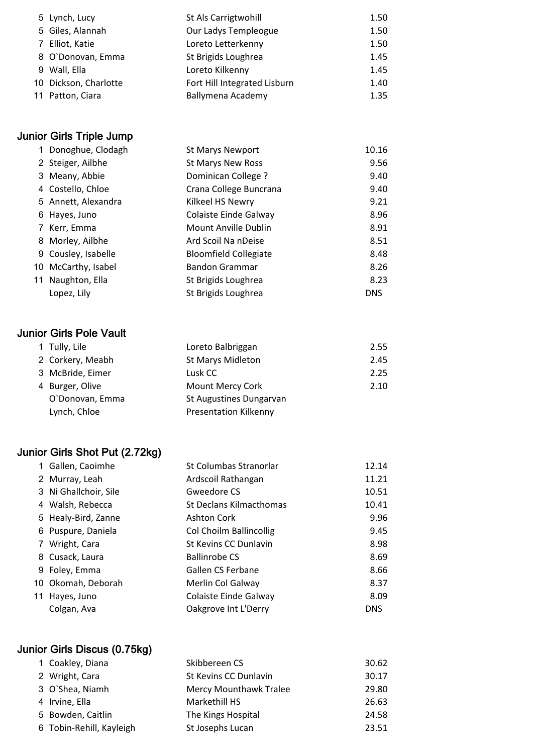| St Als Carrigtwohill                                                                                                                   | 1.50 |
|----------------------------------------------------------------------------------------------------------------------------------------|------|
| Our Ladys Templeogue                                                                                                                   | 1.50 |
| Loreto Letterkenny                                                                                                                     | 1.50 |
| St Brigids Loughrea                                                                                                                    | 1.45 |
| Loreto Kilkenny                                                                                                                        | 1.45 |
| Fort Hill Integrated Lisburn                                                                                                           | 1.40 |
| Ballymena Academy                                                                                                                      | 1.35 |
| 5 Lynch, Lucy<br>5 Giles, Alannah<br>7 Elliot, Katie<br>8 O'Donovan, Emma<br>9 Wall, Ella<br>10 Dickson, Charlotte<br>11 Patton, Ciara |      |

# Junior Girls Triple Jump

|    | Donoghue, Clodagh   | <b>St Marys Newport</b>      | 10.16      |
|----|---------------------|------------------------------|------------|
|    | 2 Steiger, Ailbhe   | St Marys New Ross            | 9.56       |
|    | 3 Meany, Abbie      | <b>Dominican College?</b>    | 9.40       |
|    | 4 Costello, Chloe   | Crana College Buncrana       | 9.40       |
|    | 5 Annett, Alexandra | Kilkeel HS Newry             | 9.21       |
|    | 6 Hayes, Juno       | Colaiste Einde Galway        | 8.96       |
|    | 7 Kerr, Emma        | Mount Anville Dublin         | 8.91       |
|    | 8 Morley, Ailbhe    | Ard Scoil Na nDeise          | 8.51       |
|    | 9 Cousley, Isabelle | <b>Bloomfield Collegiate</b> | 8.48       |
|    | 10 McCarthy, Isabel | <b>Bandon Grammar</b>        | 8.26       |
| 11 | Naughton, Ella      | St Brigids Loughrea          | 8.23       |
|    | Lopez, Lily         | St Brigids Loughrea          | <b>DNS</b> |

#### Junior Girls Pole Vault

| 1 Tully, Lile    | Loreto Balbriggan            | 2.55 |
|------------------|------------------------------|------|
| 2 Corkery, Meabh | <b>St Marys Midleton</b>     | 2.45 |
| 3 McBride, Eimer | Lusk CC                      | 2.25 |
| 4 Burger, Olive  | Mount Mercy Cork             | 2.10 |
| O'Donovan, Emma  | St Augustines Dungarvan      |      |
| Lynch, Chloe     | <b>Presentation Kilkenny</b> |      |

# Junior Girls Shot Put (2.72kg)

| 1 Gallen, Caoimhe     | St Columbas Stranorlar         | 12.14      |
|-----------------------|--------------------------------|------------|
| 2 Murray, Leah        | Ardscoil Rathangan             | 11.21      |
| 3 Ni Ghallchoir, Sile | Gweedore CS                    | 10.51      |
| 4 Walsh, Rebecca      | <b>St Declans Kilmacthomas</b> | 10.41      |
| 5 Healy-Bird, Zanne   | <b>Ashton Cork</b>             | 9.96       |
| 6 Puspure, Daniela    | Col Choilm Ballincollig        | 9.45       |
| 7 Wright, Cara        | St Kevins CC Dunlavin          | 8.98       |
| 8 Cusack, Laura       | <b>Ballinrobe CS</b>           | 8.69       |
| 9 Foley, Emma         | Gallen CS Ferbane              | 8.66       |
| 10 Okomah, Deborah    | Merlin Col Galway              | 8.37       |
| 11 Hayes, Juno        | Colaiste Einde Galway          | 8.09       |
| Colgan, Ava           | Oakgrove Int L'Derry           | <b>DNS</b> |

# Junior Girls Discus (0.75kg)

| 1 Coakley, Diana         | Skibbereen CS                 | 30.62 |
|--------------------------|-------------------------------|-------|
| 2 Wright, Cara           | St Kevins CC Dunlavin         | 30.17 |
| 3 O'Shea, Niamh          | <b>Mercy Mounthawk Tralee</b> | 29.80 |
| 4 Irvine, Ella           | Markethill HS                 | 26.63 |
| 5 Bowden, Caitlin        | The Kings Hospital            | 24.58 |
| 6 Tobin-Rehill, Kayleigh | St Josephs Lucan              | 23.51 |
|                          |                               |       |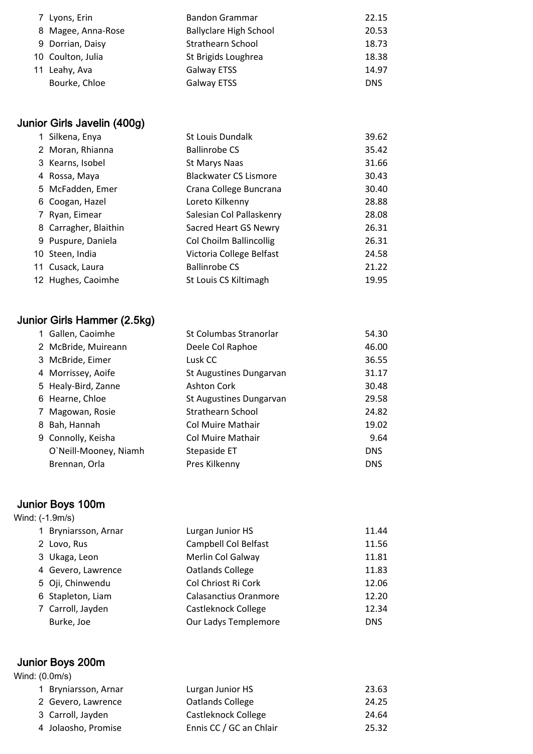| 7 Lyons, Erin      | <b>Bandon Grammar</b>         | 22.15      |
|--------------------|-------------------------------|------------|
| 8 Magee, Anna-Rose | <b>Ballyclare High School</b> | 20.53      |
| 9 Dorrian, Daisy   | <b>Strathearn School</b>      | 18.73      |
| 10 Coulton, Julia  | St Brigids Loughrea           | 18.38      |
| 11 Leahy, Ava      | <b>Galway ETSS</b>            | 14.97      |
| Bourke, Chloe      | <b>Galway ETSS</b>            | <b>DNS</b> |

# Junior Girls Javelin (400g)

| 1 Silkena, Enya       | <b>St Louis Dundalk</b>      | 39.62 |
|-----------------------|------------------------------|-------|
| 2 Moran, Rhianna      | <b>Ballinrobe CS</b>         | 35.42 |
| 3 Kearns, Isobel      | St Marys Naas                | 31.66 |
| 4 Rossa, Maya         | <b>Blackwater CS Lismore</b> | 30.43 |
| 5 McFadden, Emer      | Crana College Buncrana       | 30.40 |
| 6 Coogan, Hazel       | Loreto Kilkenny              | 28.88 |
| 7 Ryan, Eimear        | Salesian Col Pallaskenry     | 28.08 |
| 8 Carragher, Blaithin | Sacred Heart GS Newry        | 26.31 |
| 9 Puspure, Daniela    | Col Choilm Ballincollig      | 26.31 |
| 10 Steen, India       | Victoria College Belfast     | 24.58 |
| 11 Cusack, Laura      | <b>Ballinrobe CS</b>         | 21.22 |
| 12 Hughes, Caoimhe    | St Louis CS Kiltimagh        | 19.95 |
|                       |                              |       |

# Junior Girls Hammer (2.5kg)

|   | 1 Gallen, Caoimhe     | St Columbas Stranorlar  | 54.30      |
|---|-----------------------|-------------------------|------------|
|   | 2 McBride, Muireann   | Deele Col Raphoe        | 46.00      |
|   | 3 McBride, Eimer      | Lusk CC                 | 36.55      |
|   | 4 Morrissey, Aoife    | St Augustines Dungarvan | 31.17      |
|   | 5 Healy-Bird, Zanne   | <b>Ashton Cork</b>      | 30.48      |
|   | 6 Hearne, Chloe       | St Augustines Dungarvan | 29.58      |
| 7 | Magowan, Rosie        | Strathearn School       | 24.82      |
|   | 8 Bah, Hannah         | Col Muire Mathair       | 19.02      |
|   | 9 Connolly, Keisha    | Col Muire Mathair       | 9.64       |
|   | O'Neill-Mooney, Niamh | Stepaside ET            | <b>DNS</b> |
|   | Brennan, Orla         | Pres Kilkenny           | <b>DNS</b> |

# Junior Boys 100m

| <b>UWINDI DUYU IVUNI</b> |                              |            |
|--------------------------|------------------------------|------------|
| Wind: (-1.9m/s)          |                              |            |
| 1 Bryniarsson, Arnar     | Lurgan Junior HS             | 11.44      |
| 2 Lovo, Rus              | Campbell Col Belfast         | 11.56      |
| 3 Ukaga, Leon            | Merlin Col Galway            | 11.81      |
| 4 Gevero, Lawrence       | Oatlands College             | 11.83      |
| 5 Oji, Chinwendu         | Col Chriost Ri Cork          | 12.06      |
| 6 Stapleton, Liam        | <b>Calasanctius Oranmore</b> | 12.20      |
| 7 Carroll, Jayden        | Castleknock College          | 12.34      |
| Burke, Joe               | Our Ladys Templemore         | <b>DNS</b> |
|                          |                              |            |

# Junior Boys 200m

Wind: (0.0m/s)

| 1 Bryniarsson, Arnar | Lurgan Junior HS        | 23.63 |
|----------------------|-------------------------|-------|
| 2 Gevero, Lawrence   | Oatlands College        | 24.25 |
| 3 Carroll, Jayden    | Castleknock College     | 24.64 |
| 4 Jolaosho, Promise  | Ennis CC / GC an Chlair | 25.32 |
|                      |                         |       |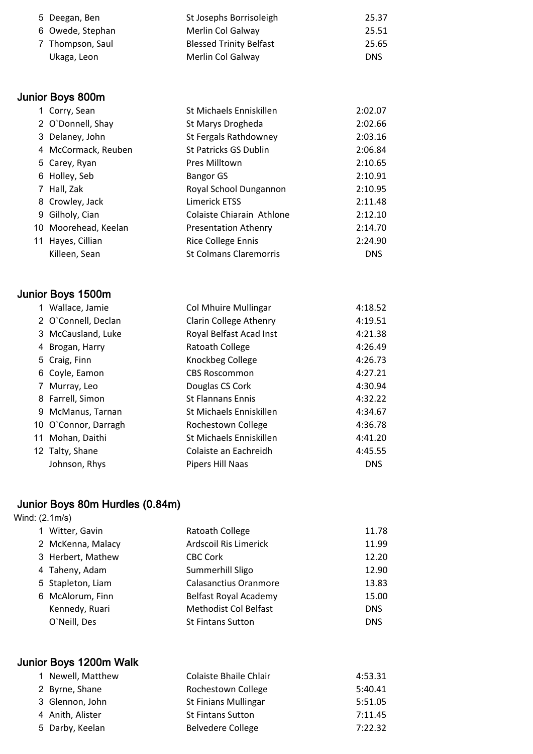| 5 Deegan, Ben    | St Josephs Borrisoleigh        | 25.37      |
|------------------|--------------------------------|------------|
| 6 Owede, Stephan | Merlin Col Galway              | 25.51      |
| 7 Thompson, Saul | <b>Blessed Trinity Belfast</b> | 25.65      |
| Ukaga, Leon      | Merlin Col Galway              | <b>DNS</b> |

# Junior Boys 800m

| 1 Corry, Sean        | St Michaels Enniskillen       | 2:02.07    |
|----------------------|-------------------------------|------------|
| 2 O'Donnell, Shay    | St Marys Drogheda             | 2:02.66    |
| 3 Delaney, John      | St Fergals Rathdowney         | 2:03.16    |
| 4 McCormack, Reuben  | St Patricks GS Dublin         | 2:06.84    |
| 5 Carey, Ryan        | Pres Milltown                 | 2:10.65    |
| 6 Holley, Seb        | <b>Bangor GS</b>              | 2:10.91    |
| 7 Hall, Zak          | Royal School Dungannon        | 2:10.95    |
| 8 Crowley, Jack      | <b>Limerick ETSS</b>          | 2:11.48    |
| 9 Gilholy, Cian      | Colaiste Chiarain Athlone     | 2:12.10    |
| 10 Moorehead, Keelan | <b>Presentation Athenry</b>   | 2:14.70    |
| 11 Hayes, Cillian    | <b>Rice College Ennis</b>     | 2:24.90    |
| Killeen, Sean        | <b>St Colmans Claremorris</b> | <b>DNS</b> |
|                      |                               |            |

# Junior Boys 1500m

| 1 Wallace, Jamie     | <b>Col Mhuire Mullingar</b> | 4:18.52    |
|----------------------|-----------------------------|------------|
| 2 O'Connell, Declan  | Clarin College Athenry      | 4:19.51    |
| 3 McCausland, Luke   | Royal Belfast Acad Inst     | 4:21.38    |
| 4 Brogan, Harry      | Ratoath College             | 4:26.49    |
| 5 Craig, Finn        | Knockbeg College            | 4:26.73    |
| 6 Coyle, Eamon       | <b>CBS Roscommon</b>        | 4:27.21    |
| 7 Murray, Leo        | Douglas CS Cork             | 4:30.94    |
| 8 Farrell, Simon     | <b>St Flannans Ennis</b>    | 4:32.22    |
| 9 McManus, Tarnan    | St Michaels Enniskillen     | 4:34.67    |
| 10 O'Connor, Darragh | Rochestown College          | 4:36.78    |
| 11 Mohan, Daithi     | St Michaels Enniskillen     | 4:41.20    |
| 12 Talty, Shane      | Colaiste an Eachreidh       | 4:45.55    |
| Johnson, Rhys        | Pipers Hill Naas            | <b>DNS</b> |

# Junior Boys 80m Hurdles (0.84m)

| Wind: (2.1m/s) |  |
|----------------|--|
|----------------|--|

|  | 1 Witter, Gavin   | Ratoath College              | 11.78      |
|--|-------------------|------------------------------|------------|
|  | 2 McKenna, Malacy | Ardscoil Ris Limerick        | 11.99      |
|  | 3 Herbert, Mathew | <b>CBC Cork</b>              | 12.20      |
|  | 4 Taheny, Adam    | Summerhill Sligo             | 12.90      |
|  | 5 Stapleton, Liam | Calasanctius Oranmore        | 13.83      |
|  | 6 McAlorum, Finn  | Belfast Royal Academy        | 15.00      |
|  | Kennedy, Ruari    | <b>Methodist Col Belfast</b> | <b>DNS</b> |
|  | O'Neill, Des      | <b>St Fintans Sutton</b>     | <b>DNS</b> |
|  |                   |                              |            |

# Junior Boys 1200m Walk

| 1 Newell, Matthew | Colaiste Bhaile Chlair      | 4:53.31 |
|-------------------|-----------------------------|---------|
| 2 Byrne, Shane    | Rochestown College          | 5:40.41 |
| 3 Glennon, John   | <b>St Finians Mullingar</b> | 5:51.05 |
| 4 Anith, Alister  | <b>St Fintans Sutton</b>    | 7:11.45 |
| 5 Darby, Keelan   | <b>Belvedere College</b>    | 7:22.32 |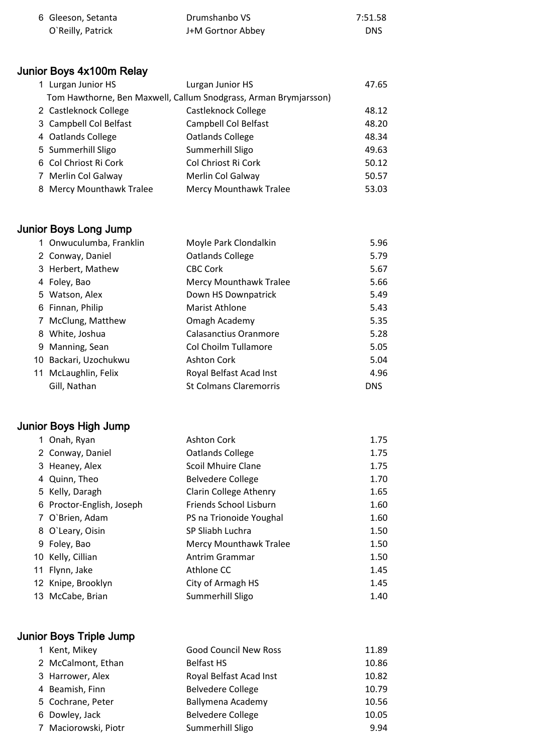| 6 Gleeson, Setanta | Drumshanbo VS     | 7:51.58 |
|--------------------|-------------------|---------|
| O'Reilly, Patrick  | J+M Gortnor Abbey | DNS     |

# Junior Boys 4x100m Relay

| 1 Lurgan Junior HS       | Lurgan Junior HS                                                 | 47.65 |
|--------------------------|------------------------------------------------------------------|-------|
|                          | Tom Hawthorne, Ben Maxwell, Callum Snodgrass, Arman Brymjarsson) |       |
| 2 Castleknock College    | Castleknock College                                              | 48.12 |
| 3 Campbell Col Belfast   | Campbell Col Belfast                                             | 48.20 |
| 4 Oatlands College       | Oatlands College                                                 | 48.34 |
| 5 Summerhill Sligo       | Summerhill Sligo                                                 | 49.63 |
| 6 Col Chriost Ri Cork    | Col Chriost Ri Cork                                              | 50.12 |
| 7 Merlin Col Galway      | Merlin Col Galway                                                | 50.57 |
| 8 Mercy Mounthawk Tralee | Mercy Mounthawk Tralee                                           | 53.03 |

# Junior Boys Long Jump

|    | 1 Onwuculumba, Franklin | Moyle Park Clondalkin         | 5.96       |
|----|-------------------------|-------------------------------|------------|
|    | 2 Conway, Daniel        | Oatlands College              | 5.79       |
|    | 3 Herbert, Mathew       | <b>CBC Cork</b>               | 5.67       |
|    | 4 Foley, Bao            | <b>Mercy Mounthawk Tralee</b> | 5.66       |
|    | 5 Watson, Alex          | Down HS Downpatrick           | 5.49       |
|    | 6 Finnan, Philip        | <b>Marist Athlone</b>         | 5.43       |
|    | 7 McClung, Matthew      | Omagh Academy                 | 5.35       |
|    | 8 White, Joshua         | Calasanctius Oranmore         | 5.28       |
|    | 9 Manning, Sean         | Col Choilm Tullamore          | 5.05       |
| 10 | Backari, Uzochukwu      | <b>Ashton Cork</b>            | 5.04       |
|    | 11 McLaughlin, Felix    | Royal Belfast Acad Inst       | 4.96       |
|    | Gill, Nathan            | <b>St Colmans Claremorris</b> | <b>DNS</b> |

# Junior Boys High Jump

| 1 Onah, Ryan              | <b>Ashton Cork</b>        | 1.75 |
|---------------------------|---------------------------|------|
| 2 Conway, Daniel          | Oatlands College          | 1.75 |
| 3 Heaney, Alex            | <b>Scoil Mhuire Clane</b> | 1.75 |
| 4 Quinn, Theo             | Belvedere College         | 1.70 |
| 5 Kelly, Daragh           | Clarin College Athenry    | 1.65 |
| 6 Proctor-English, Joseph | Friends School Lisburn    | 1.60 |
| 7 O'Brien, Adam           | PS na Trionoide Youghal   | 1.60 |
| 8 O'Leary, Oisin          | SP Sliabh Luchra          | 1.50 |
| 9 Foley, Bao              | Mercy Mounthawk Tralee    | 1.50 |
| 10 Kelly, Cillian         | Antrim Grammar            | 1.50 |
| 11 Flynn, Jake            | Athlone CC                | 1.45 |
| 12 Knipe, Brooklyn        | City of Armagh HS         | 1.45 |
| 13 McCabe, Brian          | Summerhill Sligo          | 1.40 |

# Junior Boys Triple Jump

| 1 Kent, Mikey        | <b>Good Council New Ross</b> | 11.89 |
|----------------------|------------------------------|-------|
| 2 McCalmont, Ethan   | <b>Belfast HS</b>            | 10.86 |
| 3 Harrower, Alex     | Royal Belfast Acad Inst      | 10.82 |
| 4 Beamish, Finn      | <b>Belvedere College</b>     | 10.79 |
| 5 Cochrane, Peter    | Ballymena Academy            | 10.56 |
| 6 Dowley, Jack       | <b>Belvedere College</b>     | 10.05 |
| 7 Maciorowski, Piotr | Summerhill Sligo             | 9.94  |
|                      |                              |       |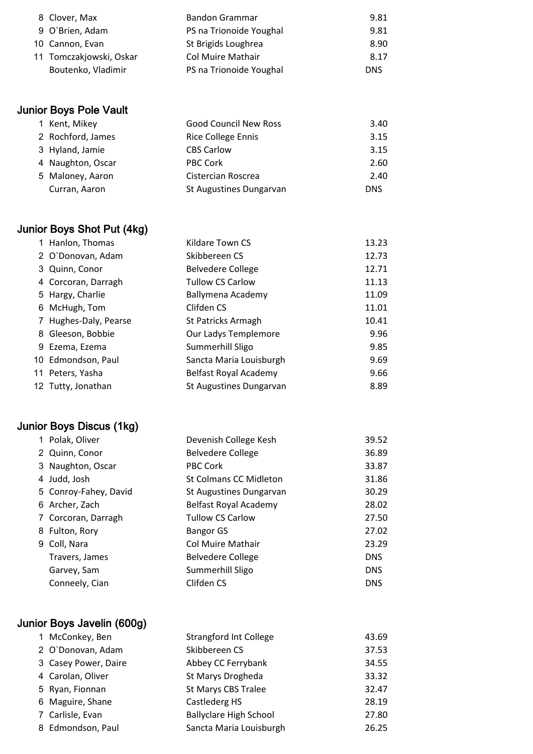| 8 Clover, Max           | Bandon Grammar           | 9.81       |
|-------------------------|--------------------------|------------|
| 9 O'Brien, Adam         | PS na Trionoide Youghal  | 9.81       |
| 10 Cannon, Evan         | St Brigids Loughrea      | 8.90       |
| 11 Tomczakjowski, Oskar | <b>Col Muire Mathair</b> | 8.17       |
| Boutenko, Vladimir      | PS na Trionoide Youghal  | <b>DNS</b> |

# Junior Boys Pole Vault

| 1 Kent, Mikey     | <b>Good Council New Ross</b> | 3.40       |
|-------------------|------------------------------|------------|
| 2 Rochford, James | <b>Rice College Ennis</b>    | 3.15       |
| 3 Hyland, Jamie   | <b>CBS Carlow</b>            | 3.15       |
| 4 Naughton, Oscar | <b>PBC Cork</b>              | 2.60       |
| 5 Maloney, Aaron  | Cistercian Roscrea           | 2.40       |
| Curran, Aaron     | St Augustines Dungarvan      | <b>DNS</b> |

# Junior Boys Shot Put (4kg)

| 1 Hanlon, Thomas      | Kildare Town CS          | 13.23 |
|-----------------------|--------------------------|-------|
| 2 O`Donovan, Adam     | Skibbereen CS            | 12.73 |
| 3 Quinn, Conor        | <b>Belvedere College</b> | 12.71 |
| 4 Corcoran, Darragh   | <b>Tullow CS Carlow</b>  | 11.13 |
| 5 Hargy, Charlie      | Ballymena Academy        | 11.09 |
| 6 McHugh, Tom         | Clifden CS               | 11.01 |
| 7 Hughes-Daly, Pearse | St Patricks Armagh       | 10.41 |
| 8 Gleeson, Bobbie     | Our Ladys Templemore     | 9.96  |
| 9 Ezema, Ezema        | Summerhill Sligo         | 9.85  |
| 10 Edmondson, Paul    | Sancta Maria Louisburgh  | 9.69  |
| 11 Peters, Yasha      | Belfast Royal Academy    | 9.66  |
| 12 Tutty, Jonathan    | St Augustines Dungarvan  | 8.89  |

# Junior Boys Discus (1kg)

|  | 1 Polak, Oliver       | Devenish College Kesh         | 39.52      |
|--|-----------------------|-------------------------------|------------|
|  | 2 Quinn, Conor        | <b>Belvedere College</b>      | 36.89      |
|  | 3 Naughton, Oscar     | <b>PBC Cork</b>               | 33.87      |
|  | 4 Judd, Josh          | <b>St Colmans CC Midleton</b> | 31.86      |
|  | 5 Conroy-Fahey, David | St Augustines Dungarvan       | 30.29      |
|  | 6 Archer, Zach        | Belfast Royal Academy         | 28.02      |
|  | 7 Corcoran, Darragh   | <b>Tullow CS Carlow</b>       | 27.50      |
|  | 8 Fulton, Rory        | <b>Bangor GS</b>              | 27.02      |
|  | 9 Coll, Nara          | <b>Col Muire Mathair</b>      | 23.29      |
|  | Travers, James        | Belvedere College             | <b>DNS</b> |
|  | Garvey, Sam           | Summerhill Sligo              | <b>DNS</b> |
|  | Conneely, Cian        | Clifden CS                    | <b>DNS</b> |
|  |                       |                               |            |

# Junior Boys Javelin (600g)

| <b>Strangford Int College</b> | 43.69 |
|-------------------------------|-------|
| Skibbereen CS                 | 37.53 |
| Abbey CC Ferrybank            | 34.55 |
| St Marys Drogheda             | 33.32 |
| St Marys CBS Tralee           | 32.47 |
| Castlederg HS                 | 28.19 |
| <b>Ballyclare High School</b> | 27.80 |
| Sancta Maria Louisburgh       | 26.25 |
|                               |       |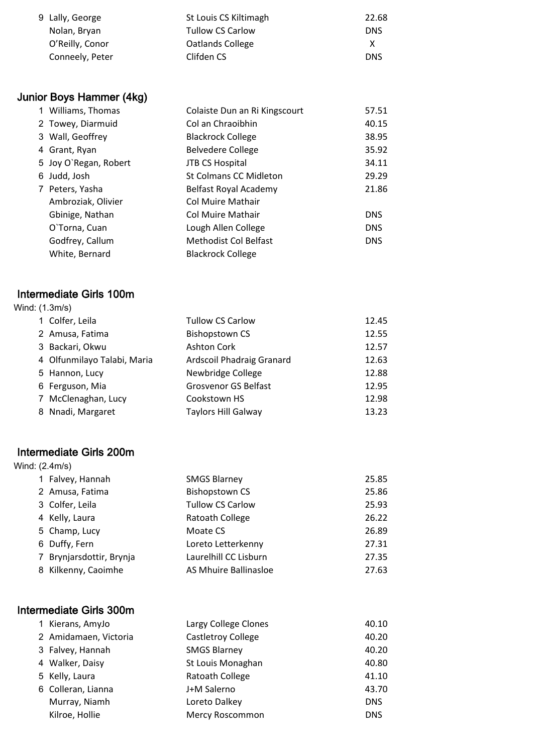| 9 Lally, George | St Louis CS Kiltimagh   | 22.68      |
|-----------------|-------------------------|------------|
| Nolan, Bryan    | <b>Tullow CS Carlow</b> | <b>DNS</b> |
| O'Reilly, Conor | Oatlands College        | x          |
| Conneely, Peter | Clifden CS              | <b>DNS</b> |

# Junior Boys Hammer (4kg)

|  | 1 Williams, Thomas    | Colaiste Dun an Ri Kingscourt | 57.51      |
|--|-----------------------|-------------------------------|------------|
|  | 2 Towey, Diarmuid     | Col an Chraoibhin             | 40.15      |
|  | 3 Wall, Geoffrey      | <b>Blackrock College</b>      | 38.95      |
|  | 4 Grant, Ryan         | <b>Belvedere College</b>      | 35.92      |
|  | 5 Joy O'Regan, Robert | <b>JTB CS Hospital</b>        | 34.11      |
|  | 6 Judd, Josh          | <b>St Colmans CC Midleton</b> | 29.29      |
|  | 7 Peters, Yasha       | Belfast Royal Academy         | 21.86      |
|  | Ambroziak, Olivier    | Col Muire Mathair             |            |
|  | Gbinige, Nathan       | Col Muire Mathair             | <b>DNS</b> |
|  | O'Torna, Cuan         | Lough Allen College           | <b>DNS</b> |
|  | Godfrey, Callum       | <b>Methodist Col Belfast</b>  | <b>DNS</b> |
|  | White, Bernard        | <b>Blackrock College</b>      |            |

#### Intermediate Girls 100m

| Wind: (1.3m/s) |                             |                             |       |
|----------------|-----------------------------|-----------------------------|-------|
|                | 1 Colfer, Leila             | <b>Tullow CS Carlow</b>     | 12.45 |
|                | 2 Amusa, Fatima             | <b>Bishopstown CS</b>       | 12.55 |
|                | 3 Backari, Okwu             | <b>Ashton Cork</b>          | 12.57 |
|                | 4 Olfunmilayo Talabi, Maria | Ardscoil Phadraig Granard   | 12.63 |
|                | 5 Hannon, Lucy              | Newbridge College           | 12.88 |
|                | 6 Ferguson, Mia             | <b>Grosvenor GS Belfast</b> | 12.95 |
|                | 7 McClenaghan, Lucy         | Cookstown HS                | 12.98 |
|                | 8 Nnadi, Margaret           | <b>Taylors Hill Galway</b>  | 13.23 |

#### Intermediate Girls 200m

| Wind: (2.4m/s) |                          |                         |       |
|----------------|--------------------------|-------------------------|-------|
|                | 1 Falvey, Hannah         | <b>SMGS Blarney</b>     | 25.85 |
|                | 2 Amusa, Fatima          | <b>Bishopstown CS</b>   | 25.86 |
|                | 3 Colfer, Leila          | <b>Tullow CS Carlow</b> | 25.93 |
|                | 4 Kelly, Laura           | Ratoath College         | 26.22 |
|                | 5 Champ, Lucy            | Moate CS                | 26.89 |
|                | 6 Duffy, Fern            | Loreto Letterkenny      | 27.31 |
|                | 7 Brynjarsdottir, Brynja | Laurelhill CC Lisburn   | 27.35 |
|                | 8 Kilkenny, Caoimhe      | AS Mhuire Ballinasloe   | 27.63 |

# Intermediate Girls 300m

| 1 Kierans, AmyJo      | Largy College Clones      | 40.10      |
|-----------------------|---------------------------|------------|
| 2 Amidamaen, Victoria | <b>Castletroy College</b> | 40.20      |
| 3 Falvey, Hannah      | <b>SMGS Blarney</b>       | 40.20      |
| 4 Walker, Daisy       | St Louis Monaghan         | 40.80      |
| 5 Kelly, Laura        | Ratoath College           | 41.10      |
| 6 Colleran, Lianna    | J+M Salerno               | 43.70      |
| Murray, Niamh         | Loreto Dalkey             | <b>DNS</b> |
| Kilroe, Hollie        | <b>Mercy Roscommon</b>    | <b>DNS</b> |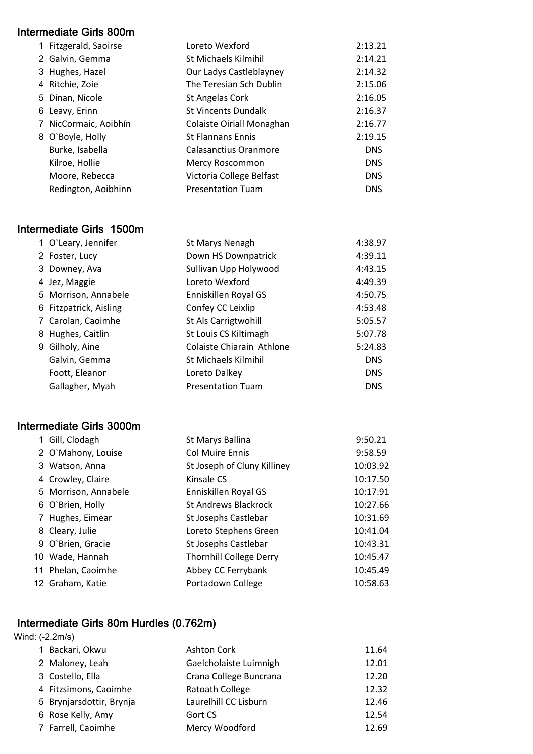#### Intermediate Girls 800m

|  | 1 Fitzgerald, Saoirse | Loreto Wexford             | 2:13.21    |
|--|-----------------------|----------------------------|------------|
|  | 2 Galvin, Gemma       | St Michaels Kilmihil       | 2:14.21    |
|  | 3 Hughes, Hazel       | Our Ladys Castleblayney    | 2:14.32    |
|  | 4 Ritchie, Zoie       | The Teresian Sch Dublin    | 2:15.06    |
|  | 5 Dinan, Nicole       | St Angelas Cork            | 2:16.05    |
|  | 6 Leavy, Erinn        | <b>St Vincents Dundalk</b> | 2:16.37    |
|  | 7 NicCormaic, Aoibhín | Colaiste Oiriall Monaghan  | 2:16.77    |
|  | 8 O'Boyle, Holly      | <b>St Flannans Ennis</b>   | 2:19.15    |
|  | Burke, Isabella       | Calasanctius Oranmore      | <b>DNS</b> |
|  | Kilroe, Hollie        | Mercy Roscommon            | <b>DNS</b> |
|  | Moore, Rebecca        | Victoria College Belfast   | <b>DNS</b> |
|  | Redington, Aoibhinn   | <b>Presentation Tuam</b>   | <b>DNS</b> |

#### Intermediate Girls 1500m

|  | 1 O'Leary, Jennifer    | St Marys Nenagh             | 4:38.97    |
|--|------------------------|-----------------------------|------------|
|  | 2 Foster, Lucy         | Down HS Downpatrick         | 4:39.11    |
|  | 3 Downey, Ava          | Sullivan Upp Holywood       | 4:43.15    |
|  | 4 Jez, Maggie          | Loreto Wexford              | 4:49.39    |
|  | 5 Morrison, Annabele   | Enniskillen Royal GS        | 4:50.75    |
|  | 6 Fitzpatrick, Aisling | Confey CC Leixlip           | 4:53.48    |
|  | 7 Carolan, Caoimhe     | St Als Carrigtwohill        | 5:05.57    |
|  | 8 Hughes, Caitlin      | St Louis CS Kiltimagh       | 5:07.78    |
|  | 9 Gilholy, Aine        | Colaiste Chiarain Athlone   | 5:24.83    |
|  | Galvin, Gemma          | <b>St Michaels Kilmihil</b> | <b>DNS</b> |
|  | Foott, Eleanor         | Loreto Dalkey               | <b>DNS</b> |
|  | Gallagher, Myah        | <b>Presentation Tuam</b>    | <b>DNS</b> |

#### Intermediate Girls 3000m

| 1 Gill, Clodagh      | St Marys Ballina               | 9:50.21  |
|----------------------|--------------------------------|----------|
| 2 O'Mahony, Louise   | <b>Col Muire Ennis</b>         | 9:58.59  |
| 3 Watson, Anna       | St Joseph of Cluny Killiney    | 10:03.92 |
| 4 Crowley, Claire    | Kinsale CS                     | 10:17.50 |
| 5 Morrison, Annabele | Enniskillen Royal GS           | 10:17.91 |
| 6 O'Brien, Holly     | <b>St Andrews Blackrock</b>    | 10:27.66 |
| 7 Hughes, Eimear     | St Josephs Castlebar           | 10:31.69 |
| 8 Cleary, Julie      | Loreto Stephens Green          | 10:41.04 |
| 9 O'Brien, Gracie    | St Josephs Castlebar           | 10:43.31 |
| 10 Wade, Hannah      | <b>Thornhill College Derry</b> | 10:45.47 |
| 11 Phelan, Caoimhe   | Abbey CC Ferrybank             | 10:45.49 |
| 12 Graham, Katie     | Portadown College              | 10:58.63 |

#### Intermediate Girls 80m Hurdles (0.762m)

| Wind: (-2.2m/s) |                          |                        |       |
|-----------------|--------------------------|------------------------|-------|
|                 | 1 Backari, Okwu          | <b>Ashton Cork</b>     | 11.64 |
|                 | 2 Maloney, Leah          | Gaelcholaiste Luimnigh | 12.01 |
|                 | 3 Costello, Ella         | Crana College Buncrana | 12.20 |
|                 | 4 Fitzsimons, Caoimhe    | Ratoath College        | 12.32 |
|                 | 5 Brynjarsdottir, Brynja | Laurelhill CC Lisburn  | 12.46 |
|                 | 6 Rose Kelly, Amy        | Gort CS                | 12.54 |
|                 | 7 Farrell, Caoimhe       | Mercy Woodford         | 12.69 |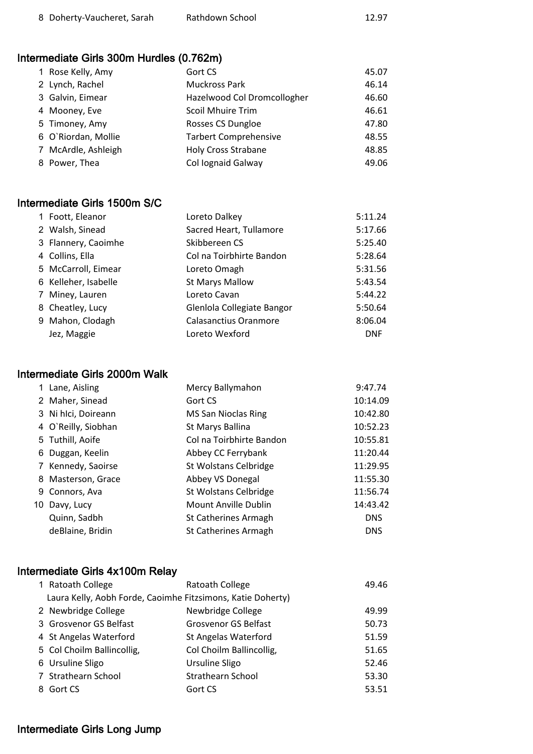| 8 Doherty-Vaucheret, Sarah | Rathdown School | 12.97 |
|----------------------------|-----------------|-------|
|                            |                 |       |

# Intermediate Girls 300m Hurdles (0.762m)

| 1 Rose Kelly, Amy   | Gort CS                      | 45.07 |
|---------------------|------------------------------|-------|
| 2 Lynch, Rachel     | <b>Muckross Park</b>         | 46.14 |
| 3 Galvin, Eimear    | Hazelwood Col Dromcollogher  | 46.60 |
| 4 Mooney, Eve       | Scoil Mhuire Trim            | 46.61 |
| 5 Timoney, Amy      | Rosses CS Dungloe            | 47.80 |
| 6 O'Riordan, Mollie | <b>Tarbert Comprehensive</b> | 48.55 |
| 7 McArdle, Ashleigh | <b>Holy Cross Strabane</b>   | 48.85 |
| 8 Power, Thea       | Col lognaid Galway           | 49.06 |

#### Intermediate Girls 1500m S/C

| 1 Foott, Eleanor     | Loreto Dalkey              | 5:11.24    |
|----------------------|----------------------------|------------|
| 2 Walsh, Sinead      | Sacred Heart, Tullamore    | 5:17.66    |
| 3 Flannery, Caoimhe  | Skibbereen CS              | 5:25.40    |
| 4 Collins, Ella      | Col na Toirbhirte Bandon   | 5:28.64    |
| 5 McCarroll, Eimear  | Loreto Omagh               | 5:31.56    |
| 6 Kelleher, Isabelle | <b>St Marys Mallow</b>     | 5:43.54    |
| 7 Miney, Lauren      | Loreto Cavan               | 5:44.22    |
| 8 Cheatley, Lucy     | Glenlola Collegiate Bangor | 5:50.64    |
| 9 Mahon, Clodagh     | Calasanctius Oranmore      | 8:06.04    |
| Jez, Maggie          | Loreto Wexford             | <b>DNF</b> |

#### Intermediate Girls 2000m Walk

| 1 Lane, Aisling     | Mercy Ballymahon            | 9:47.74    |
|---------------------|-----------------------------|------------|
| 2 Maher, Sinead     | Gort CS                     | 10:14.09   |
| 3 Ni hlci, Doireann | <b>MS San Nioclas Ring</b>  | 10:42.80   |
| 4 O`Reilly, Siobhan | St Marys Ballina            | 10:52.23   |
| 5 Tuthill, Aoife    | Col na Toirbhirte Bandon    | 10:55.81   |
| 6 Duggan, Keelin    | Abbey CC Ferrybank          | 11:20.44   |
| 7 Kennedy, Saoirse  | St Wolstans Celbridge       | 11:29.95   |
| 8 Masterson, Grace  | Abbey VS Donegal            | 11:55.30   |
| 9 Connors, Ava      | St Wolstans Celbridge       | 11:56.74   |
| 10 Davy, Lucy       | Mount Anville Dublin        | 14:43.42   |
| Quinn, Sadbh        | <b>St Catherines Armagh</b> | <b>DNS</b> |
| deBlaine, Bridin    | St Catherines Armagh        | <b>DNS</b> |
|                     |                             |            |

# Intermediate Girls 4x100m Relay

| 1 Ratoath College                                           | Ratoath College             | 49.46 |
|-------------------------------------------------------------|-----------------------------|-------|
| Laura Kelly, Aobh Forde, Caoimhe Fitzsimons, Katie Doherty) |                             |       |
| 2 Newbridge College                                         | Newbridge College           | 49.99 |
| 3 Grosvenor GS Belfast                                      | <b>Grosvenor GS Belfast</b> | 50.73 |
| 4 St Angelas Waterford                                      | <b>St Angelas Waterford</b> | 51.59 |
| 5 Col Choilm Ballincollig,                                  | Col Choilm Ballincollig,    | 51.65 |
| 6 Ursuline Sligo                                            | <b>Ursuline Sligo</b>       | 52.46 |
| 7 Strathearn School                                         | Strathearn School           | 53.30 |
| 8 Gort CS                                                   | Gort CS                     | 53.51 |

#### Intermediate Girls Long Jump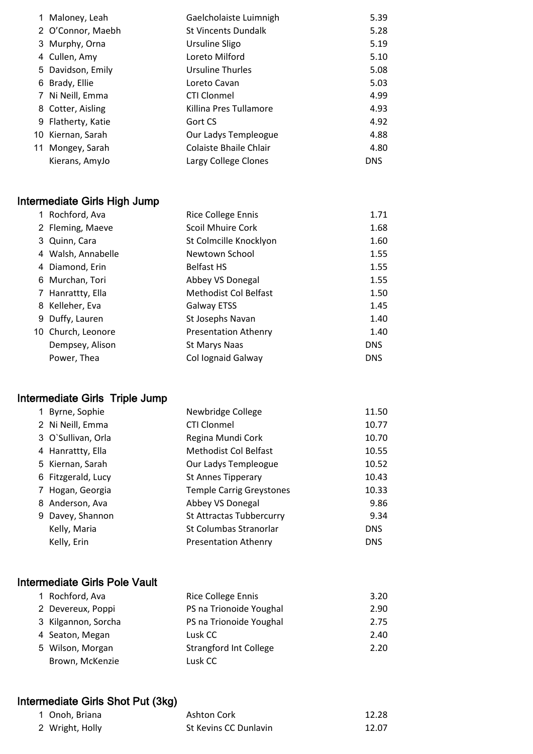| 1 Maloney, Leah    | Gaelcholaiste Luimnigh        | 5.39       |
|--------------------|-------------------------------|------------|
| 2 O'Connor, Maebh  | <b>St Vincents Dundalk</b>    | 5.28       |
| 3 Murphy, Orna     | Ursuline Sligo                | 5.19       |
| 4 Cullen, Amy      | Loreto Milford                | 5.10       |
| 5 Davidson, Emily  | Ursuline Thurles              | 5.08       |
| 6 Brady, Ellie     | Loreto Cavan                  | 5.03       |
| 7 Ni Neill, Emma   | <b>CTI Clonmel</b>            | 4.99       |
| 8 Cotter, Aisling  | Killina Pres Tullamore        | 4.93       |
| 9 Flatherty, Katie | Gort CS                       | 4.92       |
| 10 Kiernan, Sarah  | Our Ladys Templeogue          | 4.88       |
| 11 Mongey, Sarah   | <b>Colaiste Bhaile Chlair</b> | 4.80       |
| Kierans, AmyJo     | Largy College Clones          | <b>DNS</b> |
|                    |                               |            |

# Intermediate Girls High Jump

| 1 Rochford, Ava    | Rice College Ennis           | 1.71       |
|--------------------|------------------------------|------------|
| 2 Fleming, Maeve   | <b>Scoil Mhuire Cork</b>     | 1.68       |
| 3 Quinn, Cara      | St Colmcille Knocklyon       | 1.60       |
| 4 Walsh, Annabelle | Newtown School               | 1.55       |
| 4 Diamond, Erin    | <b>Belfast HS</b>            | 1.55       |
| 6 Murchan, Tori    | Abbey VS Donegal             | 1.55       |
| 7 Hanrattty, Ella  | <b>Methodist Col Belfast</b> | 1.50       |
| 8 Kelleher, Eva    | <b>Galway ETSS</b>           | 1.45       |
| 9 Duffy, Lauren    | St Josephs Navan             | 1.40       |
| 10 Church, Leonore | <b>Presentation Athenry</b>  | 1.40       |
| Dempsey, Alison    | St Marys Naas                | <b>DNS</b> |
| Power, Thea        | Col lognaid Galway           | <b>DNS</b> |

# Intermediate Girls Triple Jump

| 1 Byrne, Sophie    | Newbridge College               | 11.50      |
|--------------------|---------------------------------|------------|
| 2 Ni Neill, Emma   | <b>CTI Clonmel</b>              | 10.77      |
| 3 O'Sullivan, Orla | Regina Mundi Cork               | 10.70      |
| 4 Hanrattty, Ella  | Methodist Col Belfast           | 10.55      |
| 5 Kiernan, Sarah   | Our Ladys Templeogue            | 10.52      |
| 6 Fitzgerald, Lucy | <b>St Annes Tipperary</b>       | 10.43      |
| 7 Hogan, Georgia   | <b>Temple Carrig Greystones</b> | 10.33      |
| 8 Anderson, Ava    | Abbey VS Donegal                | 9.86       |
| 9 Davey, Shannon   | St Attractas Tubbercurry        | 9.34       |
| Kelly, Maria       | St Columbas Stranorlar          | <b>DNS</b> |
| Kelly, Erin        | <b>Presentation Athenry</b>     | <b>DNS</b> |

#### Intermediate Girls Pole Vault

| 1 Rochford, Ava     | <b>Rice College Ennis</b>     | 3.20 |
|---------------------|-------------------------------|------|
| 2 Devereux, Poppi   | PS na Trionoide Youghal       | 2.90 |
| 3 Kilgannon, Sorcha | PS na Trionoide Youghal       | 2.75 |
| 4 Seaton, Megan     | Lusk CC                       | 2.40 |
| 5 Wilson, Morgan    | <b>Strangford Int College</b> | 2.20 |
| Brown, McKenzie     | Lusk CC                       |      |

# Intermediate Girls Shot Put (3kg)

| 1 Onoh. Briana  | Ashton Cork           | 12.28 |
|-----------------|-----------------------|-------|
| 2 Wright, Holly | St Kevins CC Dunlavin | 12.07 |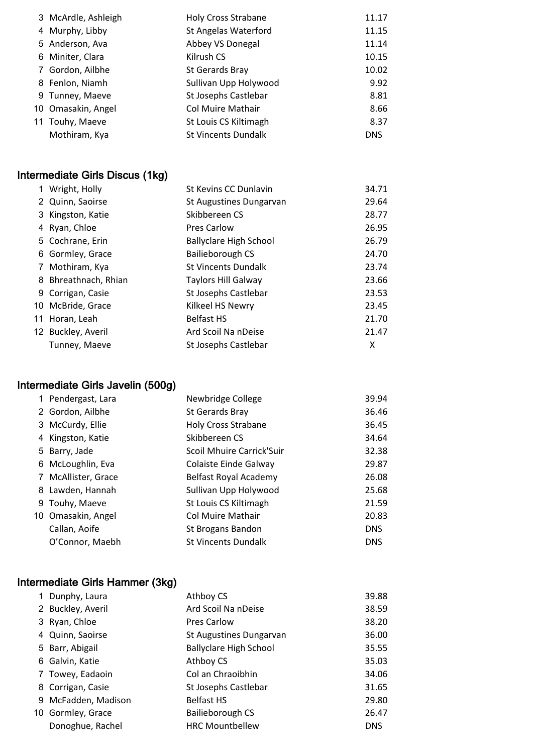| 3 McArdle, Ashleigh | <b>Holy Cross Strabane</b> | 11.17      |
|---------------------|----------------------------|------------|
| 4 Murphy, Libby     | St Angelas Waterford       | 11.15      |
| 5 Anderson, Ava     | Abbey VS Donegal           | 11.14      |
| 6 Miniter, Clara    | Kilrush CS                 | 10.15      |
| 7 Gordon, Ailbhe    | St Gerards Bray            | 10.02      |
| 8 Fenlon, Niamh     | Sullivan Upp Holywood      | 9.92       |
| 9 Tunney, Maeve     | St Josephs Castlebar       | 8.81       |
| 10 Omasakin, Angel  | <b>Col Muire Mathair</b>   | 8.66       |
| 11 Touhy, Maeve     | St Louis CS Kiltimagh      | 8.37       |
| Mothiram, Kya       | <b>St Vincents Dundalk</b> | <b>DNS</b> |
|                     |                            |            |

# Intermediate Girls Discus (1kg)

| 1 Wright, Holly      | St Kevins CC Dunlavin         | 34.71 |
|----------------------|-------------------------------|-------|
| 2 Quinn, Saoirse     | St Augustines Dungarvan       | 29.64 |
| 3 Kingston, Katie    | Skibbereen CS                 | 28.77 |
| 4 Ryan, Chloe        | <b>Pres Carlow</b>            | 26.95 |
| 5 Cochrane, Erin     | <b>Ballyclare High School</b> | 26.79 |
| 6 Gormley, Grace     | Bailieborough CS              | 24.70 |
| 7 Mothiram, Kya      | <b>St Vincents Dundalk</b>    | 23.74 |
| 8 Bhreathnach, Rhian | <b>Taylors Hill Galway</b>    | 23.66 |
| 9 Corrigan, Casie    | St Josephs Castlebar          | 23.53 |
| 10 McBride, Grace    | Kilkeel HS Newry              | 23.45 |
| 11 Horan, Leah       | <b>Belfast HS</b>             | 21.70 |
| 12 Buckley, Averil   | Ard Scoil Na nDeise           | 21.47 |
| Tunney, Maeve        | St Josephs Castlebar          | x     |
|                      |                               |       |

# Intermediate Girls Javelin (500g)

| 1 Pendergast, Lara  | Newbridge College          | 39.94      |
|---------------------|----------------------------|------------|
| 2 Gordon, Ailbhe    | St Gerards Bray            | 36.46      |
| 3 McCurdy, Ellie    | <b>Holy Cross Strabane</b> | 36.45      |
| 4 Kingston, Katie   | Skibbereen CS              | 34.64      |
| 5 Barry, Jade       | Scoil Mhuire Carrick'Suir  | 32.38      |
| 6 McLoughlin, Eva   | Colaiste Einde Galway      | 29.87      |
| 7 McAllister, Grace | Belfast Royal Academy      | 26.08      |
| 8 Lawden, Hannah    | Sullivan Upp Holywood      | 25.68      |
| 9 Touhy, Maeve      | St Louis CS Kiltimagh      | 21.59      |
| 10 Omasakin, Angel  | <b>Col Muire Mathair</b>   | 20.83      |
| Callan, Aoife       | St Brogans Bandon          | <b>DNS</b> |
| O'Connor, Maebh     | <b>St Vincents Dundalk</b> | <b>DNS</b> |

# Intermediate Girls Hammer (3kg)

| 1 Dunphy, Laura     | Athboy CS                     | 39.88 |
|---------------------|-------------------------------|-------|
| 2 Buckley, Averil   | Ard Scoil Na nDeise           | 38.59 |
| 3 Ryan, Chloe       | <b>Pres Carlow</b>            | 38.20 |
| 4 Quinn, Saoirse    | St Augustines Dungarvan       | 36.00 |
| 5 Barr, Abigail     | <b>Ballyclare High School</b> | 35.55 |
| 6 Galvin, Katie     | Athboy CS                     | 35.03 |
| 7 Towey, Eadaoin    | Col an Chraoibhin             | 34.06 |
| 8 Corrigan, Casie   | St Josephs Castlebar          | 31.65 |
| 9 McFadden, Madison | <b>Belfast HS</b>             | 29.80 |
| 10 Gormley, Grace   | Bailieborough CS              | 26.47 |
| Donoghue, Rachel    | <b>HRC Mountbellew</b>        | DNS.  |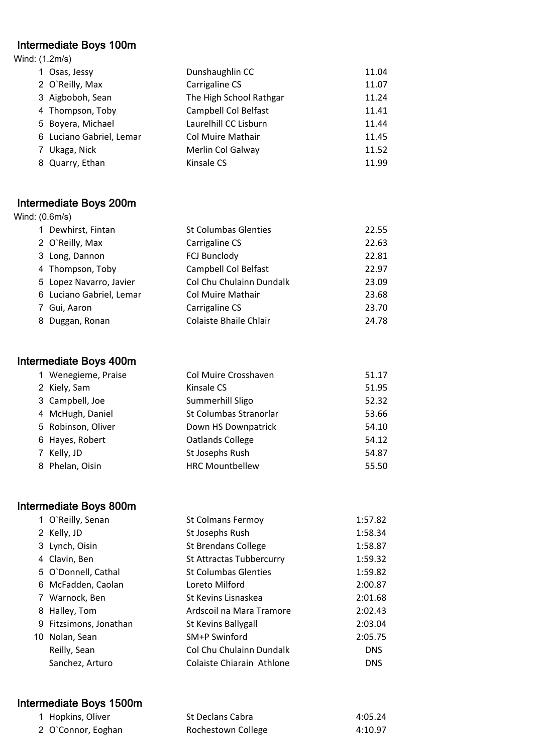#### Intermediate Boys 100m

| Wind: (1.2m/s)           |                          |       |
|--------------------------|--------------------------|-------|
| 1 Osas, Jessy            | Dunshaughlin CC          | 11.04 |
| 2 O'Reilly, Max          | Carrigaline CS           | 11.07 |
| 3 Aigboboh, Sean         | The High School Rathgar  | 11.24 |
| 4 Thompson, Toby         | Campbell Col Belfast     | 11.41 |
| 5 Boyera, Michael        | Laurelhill CC Lisburn    | 11.44 |
| 6 Luciano Gabriel, Lemar | <b>Col Muire Mathair</b> | 11.45 |
| 7 Ukaga, Nick            | Merlin Col Galway        | 11.52 |
| 8 Quarry, Ethan          | Kinsale CS               | 11.99 |
|                          |                          |       |

#### Intermediate Boys 200m Wind: (0.6m/s)

| 1 Dewhirst, Fintan       | <b>St Columbas Glenties</b> | 22.55 |
|--------------------------|-----------------------------|-------|
| 2 O'Reilly, Max          | Carrigaline CS              | 22.63 |
| 3 Long, Dannon           | <b>FCJ Bunclody</b>         | 22.81 |
| 4 Thompson, Toby         | Campbell Col Belfast        | 22.97 |
| 5 Lopez Navarro, Javier  | Col Chu Chulainn Dundalk    | 23.09 |
| 6 Luciano Gabriel, Lemar | Col Muire Mathair           | 23.68 |
| 7 Gui, Aaron             | Carrigaline CS              | 23.70 |
| 8 Duggan, Ronan          | Colaiste Bhaile Chlair      | 24.78 |

# Intermediate Boys 400m

| 1 Wenegieme, Praise | Col Muire Crosshaven   | 51.17 |
|---------------------|------------------------|-------|
| 2 Kiely, Sam        | Kinsale CS             | 51.95 |
| 3 Campbell, Joe     | Summerhill Sligo       | 52.32 |
| 4 McHugh, Daniel    | St Columbas Stranorlar | 53.66 |
| 5 Robinson, Oliver  | Down HS Downpatrick    | 54.10 |
| 6 Hayes, Robert     | Oatlands College       | 54.12 |
| 7 Kelly, JD         | St Josephs Rush        | 54.87 |
| 8 Phelan, Oisin     | <b>HRC Mountbellew</b> | 55.50 |
|                     |                        |       |

# Intermediate Boys 800m

| 1 O'Reilly, Senan      | <b>St Colmans Fermoy</b>    | 1:57.82    |
|------------------------|-----------------------------|------------|
| 2 Kelly, JD            | St Josephs Rush             | 1:58.34    |
| 3 Lynch, Oisin         | St Brendans College         | 1:58.87    |
| 4 Clavin, Ben          | St Attractas Tubbercurry    | 1:59.32    |
| 5 O'Donnell, Cathal    | <b>St Columbas Glenties</b> | 1:59.82    |
| 6 McFadden, Caolan     | Loreto Milford              | 2:00.87    |
| 7 Warnock, Ben         | St Kevins Lisnaskea         | 2:01.68    |
| 8 Halley, Tom          | Ardscoil na Mara Tramore    | 2:02.43    |
| 9 Fitzsimons, Jonathan | St Kevins Ballygall         | 2:03.04    |
| 10 Nolan, Sean         | SM+P Swinford               | 2:05.75    |
| Reilly, Sean           | Col Chu Chulainn Dundalk    | <b>DNS</b> |
| Sanchez, Arturo        | Colaiste Chiarain Athlone   | <b>DNS</b> |

# Intermediate Boys 1500m

| 1 Hopkins, Oliver  | St Declans Cabra   | 4:05.24 |
|--------------------|--------------------|---------|
| 2 O'Connor, Eoghan | Rochestown College | 4:10.97 |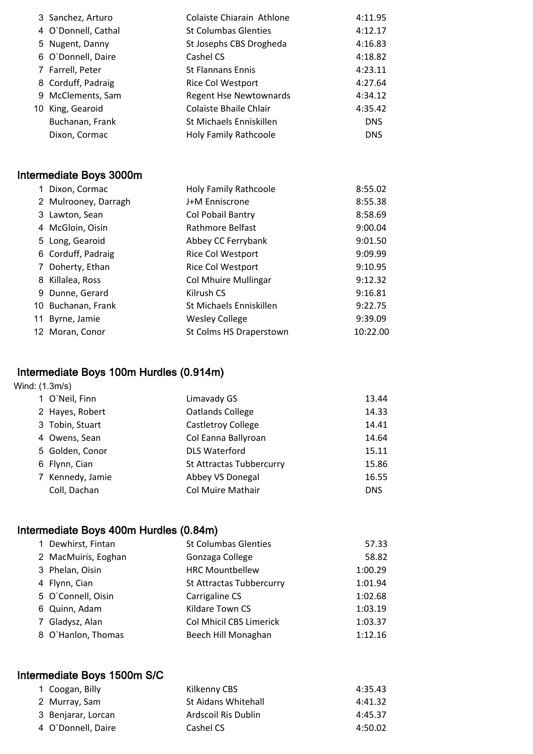| 3 Sanchez, Arturo   | Colaiste Chiarain Athlone     | 4:11.95    |
|---------------------|-------------------------------|------------|
| 4 O'Donnell, Cathal | <b>St Columbas Glenties</b>   | 4:12.17    |
| 5 Nugent, Danny     | St Josephs CBS Drogheda       | 4:16.83    |
| 6 O'Donnell, Daire  | Cashel CS                     | 4:18.82    |
| 7 Farrell, Peter    | <b>St Flannans Ennis</b>      | 4:23.11    |
| 8 Corduff, Padraig  | Rice Col Westport             | 4:27.64    |
| 9 McClements, Sam   | <b>Regent Hse Newtownards</b> | 4:34.12    |
| 10 King, Gearoid    | Colaiste Bhaile Chlair        | 4:35.42    |
| Buchanan, Frank     | St Michaels Enniskillen       | <b>DNS</b> |
| Dixon, Cormac       | <b>Holy Family Rathcoole</b>  | <b>DNS</b> |

# Intermediate Boys 3000m

| 1 Dixon, Cormac      | <b>Holy Family Rathcoole</b> | 8:55.02  |
|----------------------|------------------------------|----------|
| 2 Mulrooney, Darragh | J+M Enniscrone               | 8:55.38  |
| 3 Lawton, Sean       | Col Pobail Bantry            | 8:58.69  |
| 4 McGloin, Oisin     | Rathmore Belfast             | 9:00.04  |
| 5 Long, Gearoid      | Abbey CC Ferrybank           | 9:01.50  |
| 6 Corduff, Padraig   | Rice Col Westport            | 9:09.99  |
| 7 Doherty, Ethan     | Rice Col Westport            | 9:10.95  |
| 8 Killalea, Ross     | <b>Col Mhuire Mullingar</b>  | 9:12.32  |
| 9 Dunne, Gerard      | Kilrush CS                   | 9:16.81  |
| 10 Buchanan, Frank   | St Michaels Enniskillen      | 9:22.75  |
| 11 Byrne, Jamie      | <b>Wesley College</b>        | 9:39.09  |
| 12 Moran, Conor      | St Colms HS Draperstown      | 10:22.00 |

# Intermediate Boys 100m Hurdles (0.914m)

#### Wind: (1.3m/s)

|  | 1 O'Neil, Finn   | Limavady GS              | 13.44      |
|--|------------------|--------------------------|------------|
|  | 2 Hayes, Robert  | <b>Oatlands College</b>  | 14.33      |
|  | 3 Tobin, Stuart  | Castletroy College       | 14.41      |
|  | 4 Owens, Sean    | Col Eanna Ballyroan      | 14.64      |
|  | 5 Golden, Conor  | <b>DLS Waterford</b>     | 15.11      |
|  | 6 Flynn, Cian    | St Attractas Tubbercurry | 15.86      |
|  | 7 Kennedy, Jamie | Abbey VS Donegal         | 16.55      |
|  | Coll, Dachan     | Col Muire Mathair        | <b>DNS</b> |
|  |                  |                          |            |

# Intermediate Boys 400m Hurdles (0.84m)

| 1 Dewhirst, Fintan  | <b>St Columbas Glenties</b> | 57.33   |
|---------------------|-----------------------------|---------|
| 2 MacMuiris, Eoghan | Gonzaga College             | 58.82   |
| 3 Phelan, Oisin     | <b>HRC Mountbellew</b>      | 1:00.29 |
| 4 Flynn, Cian       | St Attractas Tubbercurry    | 1:01.94 |
| 5 O'Connell, Oisin  | Carrigaline CS              | 1:02.68 |
| 6 Quinn, Adam       | Kildare Town CS             | 1:03.19 |
| 7 Gladysz, Alan     | Col Mhicil CBS Limerick     | 1:03.37 |
| 8 O'Hanlon, Thomas  | Beech Hill Monaghan         | 1:12.16 |

# Intermediate Boys 1500m S/C

| 4:41.32 |
|---------|
| 4:45.37 |
| 4:50.02 |
|         |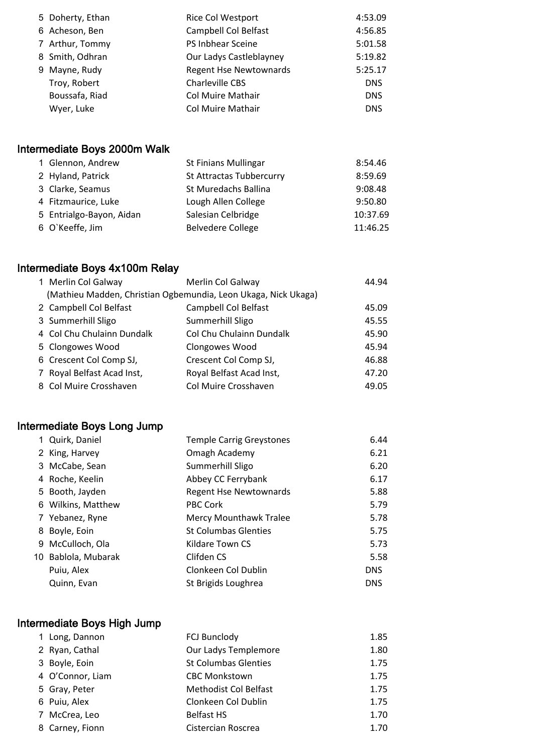|  | 5 Doherty, Ethan | Rice Col Westport             | 4:53.09    |
|--|------------------|-------------------------------|------------|
|  | 6 Acheson, Ben   | Campbell Col Belfast          | 4:56.85    |
|  | 7 Arthur, Tommy  | PS Inbhear Sceine             | 5:01.58    |
|  | 8 Smith, Odhran  | Our Ladys Castleblayney       | 5:19.82    |
|  | 9 Mayne, Rudy    | <b>Regent Hse Newtownards</b> | 5:25.17    |
|  | Troy, Robert     | Charleville CBS               | <b>DNS</b> |
|  | Boussafa, Riad   | <b>Col Muire Mathair</b>      | <b>DNS</b> |
|  | Wyer, Luke       | <b>Col Muire Mathair</b>      | <b>DNS</b> |
|  |                  |                               |            |

# Intermediate Boys 2000m Walk

| 1 Glennon, Andrew        | <b>St Finians Mullingar</b> | 8:54.46  |
|--------------------------|-----------------------------|----------|
| 2 Hyland, Patrick        | St Attractas Tubbercurry    | 8:59.69  |
| 3 Clarke, Seamus         | St Muredachs Ballina        | 9:08.48  |
| 4 Fitzmaurice, Luke      | Lough Allen College         | 9:50.80  |
| 5 Entrialgo-Bayon, Aidan | Salesian Celbridge          | 10:37.69 |
| 6 O'Keeffe, Jim          | <b>Belvedere College</b>    | 11:46.25 |

# Intermediate Boys 4x100m Relay

| 1 Merlin Col Galway                                            | Merlin Col Galway        | 44.94 |
|----------------------------------------------------------------|--------------------------|-------|
| (Mathieu Madden, Christian Ogbemundia, Leon Ukaga, Nick Ukaga) |                          |       |
| 2 Campbell Col Belfast                                         | Campbell Col Belfast     | 45.09 |
| 3 Summerhill Sligo                                             | Summerhill Sligo         | 45.55 |
| 4 Col Chu Chulainn Dundalk                                     | Col Chu Chulainn Dundalk | 45.90 |
| 5 Clongowes Wood                                               | Clongowes Wood           | 45.94 |
| 6 Crescent Col Comp SJ,                                        | Crescent Col Comp SJ,    | 46.88 |
| 7 Royal Belfast Acad Inst,                                     | Royal Belfast Acad Inst, | 47.20 |
| 8 Col Muire Crosshaven                                         | Col Muire Crosshaven     | 49.05 |

# Intermediate Boys Long Jump

| 1 Quirk, Daniel     | <b>Temple Carrig Greystones</b> | 6.44       |
|---------------------|---------------------------------|------------|
| 2 King, Harvey      | Omagh Academy                   | 6.21       |
| 3 McCabe, Sean      | Summerhill Sligo                | 6.20       |
| 4 Roche, Keelin     | Abbey CC Ferrybank              | 6.17       |
| 5 Booth, Jayden     | <b>Regent Hse Newtownards</b>   | 5.88       |
| 6 Wilkins, Matthew  | PBC Cork                        | 5.79       |
| 7 Yebanez, Ryne     | <b>Mercy Mounthawk Tralee</b>   | 5.78       |
| 8 Boyle, Eoin       | <b>St Columbas Glenties</b>     | 5.75       |
| 9 McCulloch, Ola    | Kildare Town CS                 | 5.73       |
| 10 Bablola, Mubarak | Clifden CS                      | 5.58       |
| Puiu, Alex          | Clonkeen Col Dublin             | <b>DNS</b> |
| Quinn, Evan         | St Brigids Loughrea             | <b>DNS</b> |

# Intermediate Boys High Jump

| 1 Long, Dannon   | <b>FCJ Bunclody</b>         | 1.85 |
|------------------|-----------------------------|------|
| 2 Ryan, Cathal   | Our Ladys Templemore        | 1.80 |
| 3 Boyle, Eoin    | <b>St Columbas Glenties</b> | 1.75 |
| 4 O'Connor, Liam | <b>CBC Monkstown</b>        | 1.75 |
| 5 Gray, Peter    | Methodist Col Belfast       | 1.75 |
| 6 Puiu, Alex     | Clonkeen Col Dublin         | 1.75 |
| 7 McCrea, Leo    | <b>Belfast HS</b>           | 1.70 |
| 8 Carney, Fionn  | Cistercian Roscrea          | 1.70 |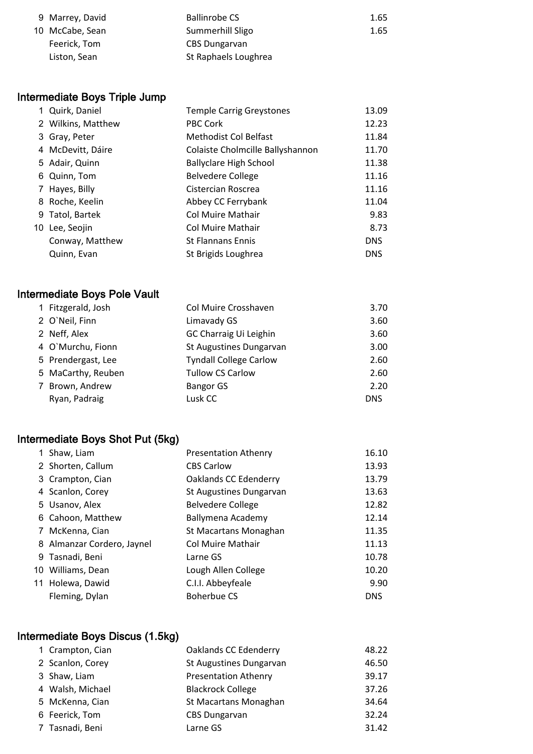| 9 Marrey, David | <b>Ballinrobe CS</b> | 1.65 |
|-----------------|----------------------|------|
| 10 McCabe, Sean | Summerhill Sligo     | 1.65 |
| Feerick, Tom    | <b>CBS Dungarvan</b> |      |
| Liston, Sean    | St Raphaels Loughrea |      |

# Intermediate Boys Triple Jump

| 1 Quirk, Daniel    | <b>Temple Carrig Greystones</b>  | 13.09      |
|--------------------|----------------------------------|------------|
| 2 Wilkins, Matthew | PBC Cork                         | 12.23      |
| 3 Gray, Peter      | <b>Methodist Col Belfast</b>     | 11.84      |
| 4 McDevitt, Dáire  | Colaiste Cholmcille Ballyshannon | 11.70      |
| 5 Adair, Quinn     | <b>Ballyclare High School</b>    | 11.38      |
| 6 Quinn, Tom       | <b>Belvedere College</b>         | 11.16      |
| 7 Hayes, Billy     | Cistercian Roscrea               | 11.16      |
| 8 Roche, Keelin    | Abbey CC Ferrybank               | 11.04      |
| 9 Tatol, Bartek    | Col Muire Mathair                | 9.83       |
| 10 Lee, Seojin     | Col Muire Mathair                | 8.73       |
| Conway, Matthew    | <b>St Flannans Ennis</b>         | <b>DNS</b> |
| Quinn, Evan        | St Brigids Loughrea              | <b>DNS</b> |

# Intermediate Boys Pole Vault

|  | 1 Fitzgerald, Josh | Col Muire Crosshaven          | 3.70       |
|--|--------------------|-------------------------------|------------|
|  | 2 O'Neil, Finn     | Limavady GS                   | 3.60       |
|  | 2 Neff, Alex       | GC Charraig Ui Leighin        | 3.60       |
|  | 4 O'Murchu, Fionn  | St Augustines Dungarvan       | 3.00       |
|  | 5 Prendergast, Lee | <b>Tyndall College Carlow</b> | 2.60       |
|  | 5 MaCarthy, Reuben | <b>Tullow CS Carlow</b>       | 2.60       |
|  | 7 Brown, Andrew    | <b>Bangor GS</b>              | 2.20       |
|  | Ryan, Padraig      | Lusk CC                       | <b>DNS</b> |
|  |                    |                               |            |

# Intermediate Boys Shot Put (5kg)

|   | 1 Shaw, Liam               | <b>Presentation Athenry</b> | 16.10      |
|---|----------------------------|-----------------------------|------------|
|   | 2 Shorten, Callum          | <b>CBS Carlow</b>           | 13.93      |
|   | 3 Crampton, Cian           | Oaklands CC Edenderry       | 13.79      |
|   | 4 Scanlon, Corey           | St Augustines Dungarvan     | 13.63      |
|   | 5 Usanov, Alex             | <b>Belvedere College</b>    | 12.82      |
|   | 6 Cahoon, Matthew          | Ballymena Academy           | 12.14      |
| 7 | McKenna, Cian              | St Macartans Monaghan       | 11.35      |
|   | 8 Almanzar Cordero, Jaynel | <b>Col Muire Mathair</b>    | 11.13      |
|   | 9 Tasnadi, Beni            | Larne GS                    | 10.78      |
|   | 10 Williams, Dean          | Lough Allen College         | 10.20      |
|   | 11 Holewa, Dawid           | C.I.I. Abbeyfeale           | 9.90       |
|   | Fleming, Dylan             | <b>Boherbue CS</b>          | <b>DNS</b> |

# Intermediate Boys Discus (1.5kg)

| 1 Crampton, Cian | Oaklands CC Edenderry       | 48.22 |
|------------------|-----------------------------|-------|
| 2 Scanlon, Corey | St Augustines Dungarvan     | 46.50 |
| 3 Shaw, Liam     | <b>Presentation Athenry</b> | 39.17 |
| 4 Walsh, Michael | <b>Blackrock College</b>    | 37.26 |
| 5 McKenna, Cian  | St Macartans Monaghan       | 34.64 |
| 6 Feerick, Tom   | <b>CBS Dungarvan</b>        | 32.24 |
| 7 Tasnadi, Beni  | Larne GS                    | 31.42 |
|                  |                             |       |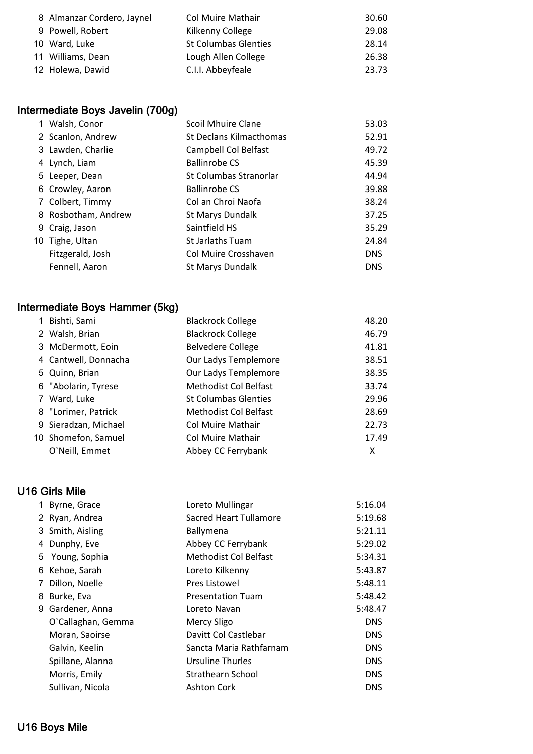| 8 Almanzar Cordero, Jaynel | <b>Col Muire Mathair</b>    | 30.60 |
|----------------------------|-----------------------------|-------|
| 9 Powell, Robert           | Kilkenny College            | 29.08 |
| 10 Ward, Luke              | <b>St Columbas Glenties</b> | 28.14 |
| 11 Williams, Dean          | Lough Allen College         | 26.38 |
| 12 Holewa, Dawid           | C.I.I. Abbeyfeale           | 23.73 |

# Intermediate Boys Javelin (700g)

| 1 Walsh, Conor      | <b>Scoil Mhuire Clane</b> | 53.03      |
|---------------------|---------------------------|------------|
| 2 Scanlon, Andrew   | St Declans Kilmacthomas   | 52.91      |
| 3 Lawden, Charlie   | Campbell Col Belfast      | 49.72      |
| 4 Lynch, Liam       | <b>Ballinrobe CS</b>      | 45.39      |
| 5 Leeper, Dean      | St Columbas Stranorlar    | 44.94      |
| 6 Crowley, Aaron    | <b>Ballinrobe CS</b>      | 39.88      |
| 7 Colbert, Timmy    | Col an Chroi Naofa        | 38.24      |
| 8 Rosbotham, Andrew | St Marys Dundalk          | 37.25      |
| 9 Craig, Jason      | Saintfield HS             | 35.29      |
| 10 Tighe, Ultan     | <b>St Jarlaths Tuam</b>   | 24.84      |
| Fitzgerald, Josh    | Col Muire Crosshaven      | <b>DNS</b> |
| Fennell, Aaron      | St Marys Dundalk          | <b>DNS</b> |

# Intermediate Boys Hammer (5kg)

| 1 Bishti, Sami       | <b>Blackrock College</b>     | 48.20 |
|----------------------|------------------------------|-------|
| 2 Walsh, Brian       | <b>Blackrock College</b>     | 46.79 |
| 3 McDermott, Eoin    | <b>Belvedere College</b>     | 41.81 |
| 4 Cantwell, Donnacha | Our Ladys Templemore         | 38.51 |
| 5 Quinn, Brian       | Our Ladys Templemore         | 38.35 |
| 6 "Abolarin, Tyrese  | <b>Methodist Col Belfast</b> | 33.74 |
| 7 Ward, Luke         | <b>St Columbas Glenties</b>  | 29.96 |
| 8 "Lorimer, Patrick  | <b>Methodist Col Belfast</b> | 28.69 |
| 9 Sieradzan, Michael | Col Muire Mathair            | 22.73 |
| 10 Shomefon, Samuel  | Col Muire Mathair            | 17.49 |
| O`Neill, Emmet       | Abbey CC Ferrybank           | x     |

# U16 Girls Mile

|   | 1 Byrne, Grace     | Loreto Mullingar              | 5:16.04    |
|---|--------------------|-------------------------------|------------|
|   | 2 Ryan, Andrea     | <b>Sacred Heart Tullamore</b> | 5:19.68    |
|   | 3 Smith, Aisling   | Ballymena                     | 5:21.11    |
|   | 4 Dunphy, Eve      | Abbey CC Ferrybank            | 5:29.02    |
|   | 5 Young, Sophia    | Methodist Col Belfast         | 5:34.31    |
|   | 6 Kehoe, Sarah     | Loreto Kilkenny               | 5:43.87    |
| 7 | Dillon, Noelle     | <b>Pres Listowel</b>          | 5:48.11    |
|   | 8 Burke, Eva       | <b>Presentation Tuam</b>      | 5:48.42    |
|   | 9 Gardener, Anna   | Loreto Navan                  | 5:48.47    |
|   | O'Callaghan, Gemma | Mercy Sligo                   | <b>DNS</b> |
|   | Moran, Saoirse     | Davitt Col Castlebar          | <b>DNS</b> |
|   | Galvin, Keelin     | Sancta Maria Rathfarnam       | <b>DNS</b> |
|   | Spillane, Alanna   | <b>Ursuline Thurles</b>       | <b>DNS</b> |
|   | Morris, Emily      | Strathearn School             | <b>DNS</b> |
|   | Sullivan, Nicola   | <b>Ashton Cork</b>            | <b>DNS</b> |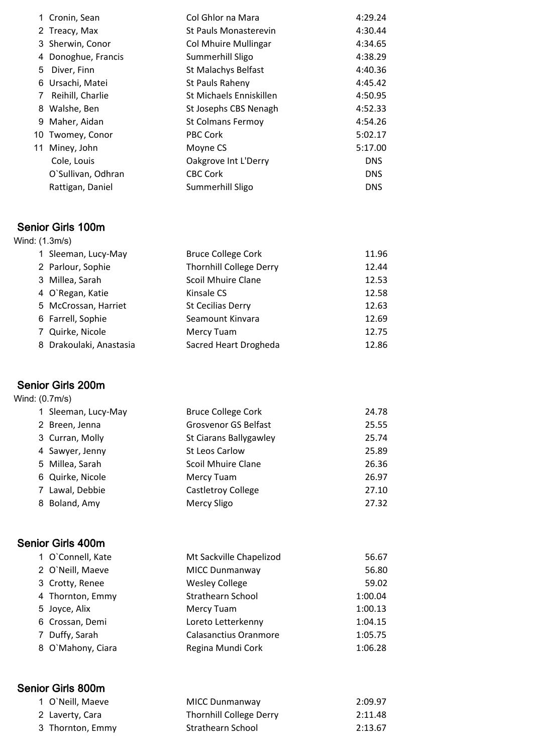|   | 1 Cronin, Sean      | Col Ghlor na Mara            | 4:29.24    |
|---|---------------------|------------------------------|------------|
|   | 2 Treacy, Max       | <b>St Pauls Monasterevin</b> | 4:30.44    |
|   | 3 Sherwin, Conor    | <b>Col Mhuire Mullingar</b>  | 4:34.65    |
|   | 4 Donoghue, Francis | Summerhill Sligo             | 4:38.29    |
| 5 | Diver, Finn         | St Malachys Belfast          | 4:40.36    |
|   | 6 Ursachi, Matei    | St Pauls Raheny              | 4:45.42    |
| 7 | Reihill, Charlie    | St Michaels Enniskillen      | 4:50.95    |
|   | 8 Walshe, Ben       | St Josephs CBS Nenagh        | 4:52.33    |
|   | 9 Maher, Aidan      | <b>St Colmans Fermoy</b>     | 4:54.26    |
|   | 10 Twomey, Conor    | <b>PBC Cork</b>              | 5:02.17    |
|   | 11 Miney, John      | Moyne CS                     | 5:17.00    |
|   | Cole, Louis         | Oakgrove Int L'Derry         | <b>DNS</b> |
|   | O'Sullivan, Odhran  | <b>CBC Cork</b>              | <b>DNS</b> |
|   | Rattigan, Daniel    | Summerhill Sligo             | <b>DNS</b> |

#### Senior Girls 100m

| Wind: (1.3m/s) |                         |                                |       |
|----------------|-------------------------|--------------------------------|-------|
|                | 1 Sleeman, Lucy-May     | <b>Bruce College Cork</b>      | 11.96 |
|                | 2 Parlour, Sophie       | <b>Thornhill College Derry</b> | 12.44 |
|                | 3 Millea, Sarah         | <b>Scoil Mhuire Clane</b>      | 12.53 |
|                | 4 O'Regan, Katie        | Kinsale CS                     | 12.58 |
|                | 5 McCrossan, Harriet    | <b>St Cecilias Derry</b>       | 12.63 |
|                | 6 Farrell, Sophie       | Seamount Kinvara               | 12.69 |
|                | 7 Quirke, Nicole        | Mercy Tuam                     | 12.75 |
|                | 8 Drakoulaki, Anastasia | Sacred Heart Drogheda          | 12.86 |

# Senior Girls 200m

|  | Wind: (0.7m/s) |
|--|----------------|
|--|----------------|

| 1 Sleeman, Lucy-May | <b>Bruce College Cork</b>   | 24.78 |
|---------------------|-----------------------------|-------|
| 2 Breen, Jenna      | <b>Grosvenor GS Belfast</b> | 25.55 |
| 3 Curran, Molly     | St Ciarans Ballygawley      | 25.74 |
| 4 Sawyer, Jenny     | <b>St Leos Carlow</b>       | 25.89 |
| 5 Millea, Sarah     | <b>Scoil Mhuire Clane</b>   | 26.36 |
| 6 Quirke, Nicole    | Mercy Tuam                  | 26.97 |
| 7 Lawal, Debbie     | <b>Castletroy College</b>   | 27.10 |
| 8 Boland, Amy       | <b>Mercy Sligo</b>          | 27.32 |

#### Senior Girls 400m

| 1 O'Connell, Kate | Mt Sackville Chapelizod      | 56.67   |
|-------------------|------------------------------|---------|
| 2 O'Neill, Maeve  | <b>MICC Dunmanway</b>        | 56.80   |
| 3 Crotty, Renee   | <b>Wesley College</b>        | 59.02   |
| 4 Thornton, Emmy  | <b>Strathearn School</b>     | 1:00.04 |
| 5 Joyce, Alix     | Mercy Tuam                   | 1:00.13 |
| 6 Crossan, Demi   | Loreto Letterkenny           | 1:04.15 |
| 7 Duffy, Sarah    | <b>Calasanctius Oranmore</b> | 1:05.75 |
| 8 O'Mahony, Ciara | Regina Mundi Cork            | 1:06.28 |

# Senior Girls 800m

| 1 O'Neill, Maeve | MICC Dunmanway                 | 2:09.97 |
|------------------|--------------------------------|---------|
| 2 Laverty, Cara  | <b>Thornhill College Derry</b> | 2:11.48 |
| 3 Thornton, Emmy | Strathearn School              | 2:13.67 |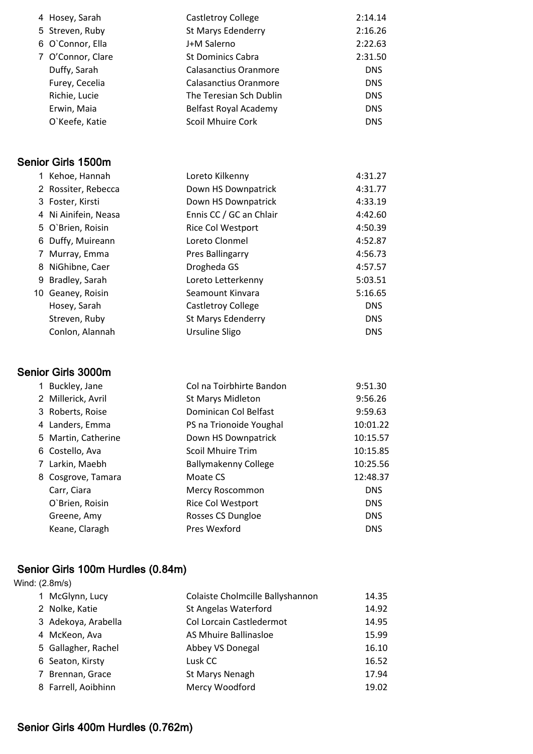| 4 Hosey, Sarah    | <b>Castletroy College</b> | 2:14.14    |
|-------------------|---------------------------|------------|
| 5 Streven, Ruby   | <b>St Marys Edenderry</b> | 2:16.26    |
| 6 O'Connor, Ella  | J+M Salerno               | 2:22.63    |
| 7 O'Connor, Clare | <b>St Dominics Cabra</b>  | 2:31.50    |
| Duffy, Sarah      | Calasanctius Oranmore     | <b>DNS</b> |
| Furey, Cecelia    | Calasanctius Oranmore     | <b>DNS</b> |
| Richie, Lucie     | The Teresian Sch Dublin   | <b>DNS</b> |
| Erwin, Maia       | Belfast Royal Academy     | <b>DNS</b> |
| O'Keefe, Katie    | <b>Scoil Mhuire Cork</b>  | <b>DNS</b> |

#### Senior Girls 1500m

| 1 Kehoe, Hannah      | Loreto Kilkenny          | 4:31.27    |
|----------------------|--------------------------|------------|
| 2 Rossiter, Rebecca  | Down HS Downpatrick      | 4:31.77    |
| 3 Foster, Kirsti     | Down HS Downpatrick      | 4:33.19    |
| 4 Ni Ainifein, Neasa | Ennis CC / GC an Chlair  | 4:42.60    |
| 5 O'Brien, Roisin    | <b>Rice Col Westport</b> | 4:50.39    |
| 6 Duffy, Muireann    | Loreto Clonmel           | 4:52.87    |
| 7 Murray, Emma       | <b>Pres Ballingarry</b>  | 4:56.73    |
| 8 NiGhibne, Caer     | Drogheda GS              | 4:57.57    |
| 9 Bradley, Sarah     | Loreto Letterkenny       | 5:03.51    |
| 10 Geaney, Roisin    | Seamount Kinvara         | 5:16.65    |
| Hosey, Sarah         | Castletroy College       | <b>DNS</b> |
| Streven, Ruby        | St Marys Edenderry       | <b>DNS</b> |
| Conlon, Alannah      | Ursuline Sligo           | <b>DNS</b> |
|                      |                          |            |

#### Senior Girls 3000m

| 2 Millerick, Avril<br><b>St Marys Midleton</b><br>Dominican Col Belfast<br>3 Roberts, Roise<br>4 Landers, Emma<br>PS na Trionoide Youghal<br>5 Martin, Catherine<br>Down HS Downpatrick<br><b>Scoil Mhuire Trim</b><br>6 Costello, Ava<br>7 Larkin, Maebh<br><b>Ballymakenny College</b><br>8 Cosgrove, Tamara<br>Moate CS<br>Carr, Ciara<br>Mercy Roscommon<br>O'Brien, Roisin<br>Rice Col Westport<br>Rosses CS Dungloe<br>Greene, Amy<br>Pres Wexford | 1 Buckley, Jane | Col na Toirbhirte Bandon | 9:51.30    |
|----------------------------------------------------------------------------------------------------------------------------------------------------------------------------------------------------------------------------------------------------------------------------------------------------------------------------------------------------------------------------------------------------------------------------------------------------------|-----------------|--------------------------|------------|
|                                                                                                                                                                                                                                                                                                                                                                                                                                                          |                 |                          | 9:56.26    |
|                                                                                                                                                                                                                                                                                                                                                                                                                                                          |                 |                          | 9:59.63    |
|                                                                                                                                                                                                                                                                                                                                                                                                                                                          |                 |                          | 10:01.22   |
|                                                                                                                                                                                                                                                                                                                                                                                                                                                          |                 |                          | 10:15.57   |
|                                                                                                                                                                                                                                                                                                                                                                                                                                                          |                 |                          | 10:15.85   |
|                                                                                                                                                                                                                                                                                                                                                                                                                                                          |                 |                          | 10:25.56   |
|                                                                                                                                                                                                                                                                                                                                                                                                                                                          |                 |                          | 12:48.37   |
|                                                                                                                                                                                                                                                                                                                                                                                                                                                          |                 |                          | <b>DNS</b> |
|                                                                                                                                                                                                                                                                                                                                                                                                                                                          |                 |                          | <b>DNS</b> |
|                                                                                                                                                                                                                                                                                                                                                                                                                                                          |                 |                          | <b>DNS</b> |
|                                                                                                                                                                                                                                                                                                                                                                                                                                                          | Keane, Claragh  |                          | <b>DNS</b> |

# Senior Girls 100m Hurdles (0.84m)

| Wind: (2.8m/s) |                     |                                  |       |
|----------------|---------------------|----------------------------------|-------|
|                | 1 McGlynn, Lucy     | Colaiste Cholmcille Ballyshannon | 14.35 |
|                | 2 Nolke, Katie      | <b>St Angelas Waterford</b>      | 14.92 |
|                | 3 Adekoya, Arabella | Col Lorcain Castledermot         | 14.95 |
|                | 4 McKeon, Ava       | AS Mhuire Ballinasloe            | 15.99 |
|                | 5 Gallagher, Rachel | Abbey VS Donegal                 | 16.10 |
|                | 6 Seaton, Kirsty    | Lusk CC                          | 16.52 |
|                | 7 Brennan, Grace    | St Marys Nenagh                  | 17.94 |
|                | 8 Farrell, Aoibhinn | Mercy Woodford                   | 19.02 |

# Senior Girls 400m Hurdles (0.762m)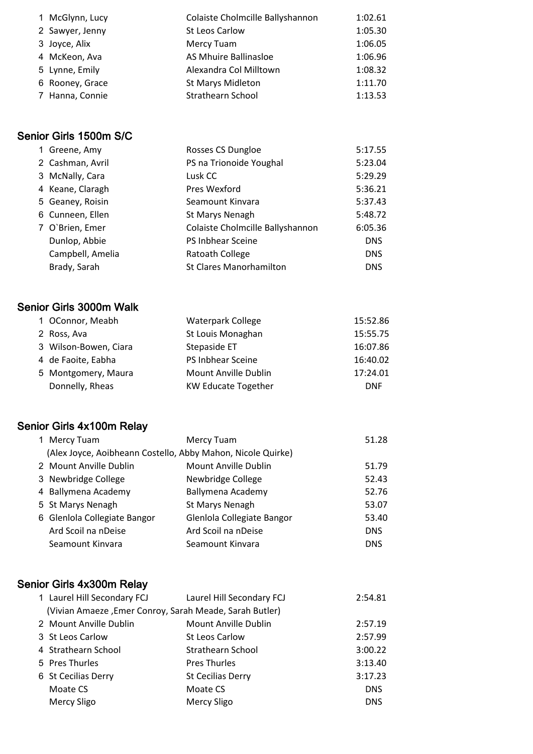| 1 McGlynn, Lucy | Colaiste Cholmcille Ballyshannon | 1:02.61 |
|-----------------|----------------------------------|---------|
| 2 Sawyer, Jenny | St Leos Carlow                   | 1:05.30 |
| 3 Joyce, Alix   | Mercy Tuam                       | 1:06.05 |
| 4 McKeon, Ava   | AS Mhuire Ballinasloe            | 1:06.96 |
| 5 Lynne, Emily  | Alexandra Col Milltown           | 1:08.32 |
| 6 Rooney, Grace | <b>St Marys Midleton</b>         | 1:11.70 |
| 7 Hanna, Connie | Strathearn School                | 1:13.53 |

# Senior Girls 1500m S/C

| 1 Greene, Amy    | Rosses CS Dungloe                | 5:17.55    |
|------------------|----------------------------------|------------|
| 2 Cashman, Avril | PS na Trionoide Youghal          | 5:23.04    |
| 3 McNally, Cara  | Lusk CC                          | 5:29.29    |
| 4 Keane, Claragh | Pres Wexford                     | 5:36.21    |
| 5 Geaney, Roisin | Seamount Kinvara                 | 5:37.43    |
| 6 Cunneen, Ellen | St Marys Nenagh                  | 5:48.72    |
| 7 O'Brien, Emer  | Colaiste Cholmcille Ballyshannon | 6:05.36    |
| Dunlop, Abbie    | PS Inbhear Sceine                | <b>DNS</b> |
| Campbell, Amelia | Ratoath College                  | <b>DNS</b> |
| Brady, Sarah     | <b>St Clares Manorhamilton</b>   | <b>DNS</b> |

#### Senior Girls 3000m Walk

|  | 1 OConnor, Meabh      | <b>Waterpark College</b>   | 15:52.86   |
|--|-----------------------|----------------------------|------------|
|  | 2 Ross, Ava           | St Louis Monaghan          | 15:55.75   |
|  | 3 Wilson-Bowen, Ciara | Stepaside ET               | 16:07.86   |
|  | 4 de Faoite, Eabha    | PS Inbhear Sceine          | 16:40.02   |
|  | 5 Montgomery, Maura   | Mount Anville Dublin       | 17:24.01   |
|  | Donnelly, Rheas       | <b>KW Educate Together</b> | <b>DNF</b> |
|  |                       |                            |            |

#### Senior Girls 4x100m Relay

|  | 1 Mercy Tuam                                                | Mercy Tuam                 | 51.28      |
|--|-------------------------------------------------------------|----------------------------|------------|
|  | (Alex Joyce, Aoibheann Costello, Abby Mahon, Nicole Quirke) |                            |            |
|  | 2 Mount Anville Dublin                                      | Mount Anville Dublin       | 51.79      |
|  | 3 Newbridge College                                         | Newbridge College          | 52.43      |
|  | 4 Ballymena Academy                                         | Ballymena Academy          | 52.76      |
|  | 5 St Marys Nenagh                                           | St Marys Nenagh            | 53.07      |
|  | 6 Glenlola Collegiate Bangor                                | Glenlola Collegiate Bangor | 53.40      |
|  | Ard Scoil na nDeise                                         | Ard Scoil na nDeise        | <b>DNS</b> |
|  | Seamount Kinvara                                            | Seamount Kinvara           | <b>DNS</b> |

# Senior Girls 4x300m Relay

| 1 Laurel Hill Secondary FCJ                             | Laurel Hill Secondary FCJ | 2:54.81    |
|---------------------------------------------------------|---------------------------|------------|
| (Vivian Amaeze, Emer Conroy, Sarah Meade, Sarah Butler) |                           |            |
| 2 Mount Anville Dublin                                  | Mount Anville Dublin      | 2:57.19    |
| 3 St Leos Carlow                                        | <b>St Leos Carlow</b>     | 2:57.99    |
| 4 Strathearn School                                     | Strathearn School         | 3:00.22    |
| 5 Pres Thurles                                          | <b>Pres Thurles</b>       | 3:13.40    |
| 6 St Cecilias Derry                                     | <b>St Cecilias Derry</b>  | 3:17.23    |
| Moate CS                                                | Moate CS                  | <b>DNS</b> |
| <b>Mercy Sligo</b>                                      | <b>Mercy Sligo</b>        | <b>DNS</b> |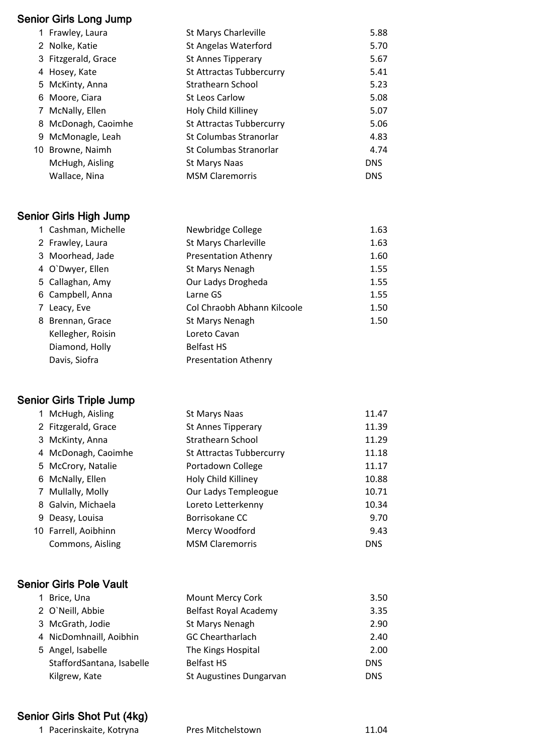#### Senior Girls Long Jump

| 1 Frawley, Laura    | <b>St Marys Charleville</b> | 5.88       |
|---------------------|-----------------------------|------------|
| 2 Nolke, Katie      | <b>St Angelas Waterford</b> | 5.70       |
| 3 Fitzgerald, Grace | <b>St Annes Tipperary</b>   | 5.67       |
| 4 Hosey, Kate       | St Attractas Tubbercurry    | 5.41       |
| 5 McKinty, Anna     | Strathearn School           | 5.23       |
| 6 Moore, Ciara      | <b>St Leos Carlow</b>       | 5.08       |
| 7 McNally, Ellen    | Holy Child Killiney         | 5.07       |
| 8 McDonagh, Caoimhe | St Attractas Tubbercurry    | 5.06       |
| 9 McMonagle, Leah   | St Columbas Stranorlar      | 4.83       |
| 10 Browne, Naimh    | St Columbas Stranorlar      | 4.74       |
| McHugh, Aisling     | <b>St Marys Naas</b>        | <b>DNS</b> |
| Wallace, Nina       | <b>MSM Claremorris</b>      | <b>DNS</b> |
|                     |                             |            |

# Senior Girls High Jump

|   | 1 Cashman, Michelle | Newbridge College           | 1.63 |
|---|---------------------|-----------------------------|------|
|   | 2 Frawley, Laura    | <b>St Marys Charleville</b> | 1.63 |
|   | 3 Moorhead, Jade    | <b>Presentation Athenry</b> | 1.60 |
|   | 4 O'Dwyer, Ellen    | St Marys Nenagh             | 1.55 |
|   | 5 Callaghan, Amy    | Our Ladys Drogheda          | 1.55 |
|   | 6 Campbell, Anna    | Larne GS                    | 1.55 |
| 7 | Leacy, Eve          | Col Chraobh Abhann Kilcoole | 1.50 |
|   | 8 Brennan, Grace    | St Marys Nenagh             | 1.50 |
|   | Kellegher, Roisin   | Loreto Cavan                |      |
|   | Diamond, Holly      | <b>Belfast HS</b>           |      |
|   | Davis, Siofra       | <b>Presentation Athenry</b> |      |

# Senior Girls Triple Jump

|   | 1 McHugh, Aisling    | St Marys Naas             | 11.47      |
|---|----------------------|---------------------------|------------|
|   | 2 Fitzgerald, Grace  | <b>St Annes Tipperary</b> | 11.39      |
|   | 3 McKinty, Anna      | <b>Strathearn School</b>  | 11.29      |
|   | 4 McDonagh, Caoimhe  | St Attractas Tubbercurry  | 11.18      |
|   | 5 McCrory, Natalie   | Portadown College         | 11.17      |
|   | 6 McNally, Ellen     | Holy Child Killiney       | 10.88      |
| 7 | Mullally, Molly      | Our Ladys Templeogue      | 10.71      |
|   | 8 Galvin, Michaela   | Loreto Letterkenny        | 10.34      |
|   | 9 Deasy, Louisa      | Borrisokane CC            | 9.70       |
|   | 10 Farrell, Aoibhinn | Mercy Woodford            | 9.43       |
|   | Commons, Aisling     | <b>MSM Claremorris</b>    | <b>DNS</b> |

#### Senior Girls Pole Vault

|  | 1 Brice, Una              | Mount Mercy Cork        | 3.50       |
|--|---------------------------|-------------------------|------------|
|  | 2 O'Neill, Abbie          | Belfast Royal Academy   | 3.35       |
|  | 3 McGrath, Jodie          | St Marys Nenagh         | 2.90       |
|  | 4 NicDomhnaill, Aoibhin   | <b>GC Cheartharlach</b> | 2.40       |
|  | 5 Angel, Isabelle         | The Kings Hospital      | 2.00       |
|  | StaffordSantana, Isabelle | <b>Belfast HS</b>       | <b>DNS</b> |
|  | Kilgrew, Kate             | St Augustines Dungarvan | <b>DNS</b> |
|  |                           |                         |            |

# Senior Girls Shot Put (4kg)

1 Pacerinskaite, Kotryna 1988 Pres Mitchelstown 11.04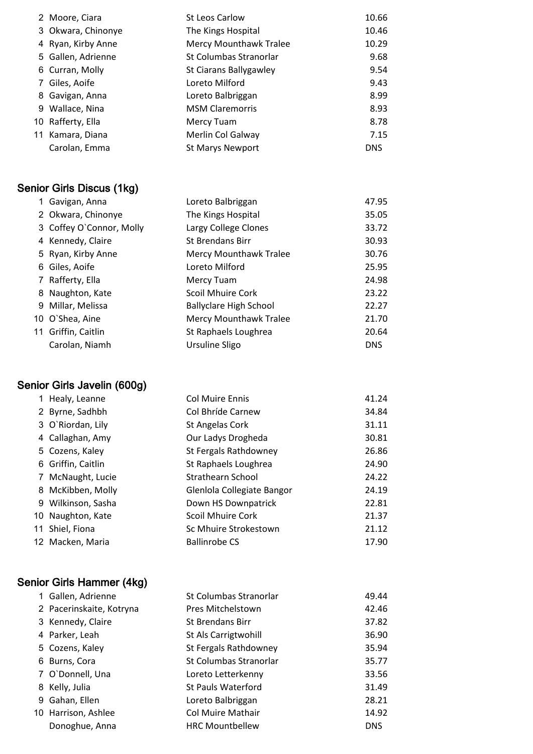|   | 2 Moore, Ciara     | St Leos Carlow                | 10.66      |
|---|--------------------|-------------------------------|------------|
|   | 3 Okwara, Chinonye | The Kings Hospital            | 10.46      |
|   | 4 Ryan, Kirby Anne | <b>Mercy Mounthawk Tralee</b> | 10.29      |
|   | 5 Gallen, Adrienne | St Columbas Stranorlar        | 9.68       |
|   | 6 Curran, Molly    | St Ciarans Ballygawley        | 9.54       |
| 7 | Giles, Aoife       | Loreto Milford                | 9.43       |
|   | 8 Gavigan, Anna    | Loreto Balbriggan             | 8.99       |
|   | 9 Wallace, Nina    | <b>MSM Claremorris</b>        | 8.93       |
|   | 10 Rafferty, Ella  | Mercy Tuam                    | 8.78       |
|   | 11 Kamara, Diana   | Merlin Col Galway             | 7.15       |
|   | Carolan, Emma      | <b>St Marys Newport</b>       | <b>DNS</b> |
|   |                    |                               |            |

# Senior Girls Discus (1kg)

| 1 Gavigan, Anna          | Loreto Balbriggan             | 47.95      |
|--------------------------|-------------------------------|------------|
| 2 Okwara, Chinonye       | The Kings Hospital            | 35.05      |
| 3 Coffey O'Connor, Molly | Largy College Clones          | 33.72      |
| 4 Kennedy, Claire        | <b>St Brendans Birr</b>       | 30.93      |
| 5 Ryan, Kirby Anne       | <b>Mercy Mounthawk Tralee</b> | 30.76      |
| 6 Giles, Aoife           | Loreto Milford                | 25.95      |
| 7 Rafferty, Ella         | Mercy Tuam                    | 24.98      |
| 8 Naughton, Kate         | <b>Scoil Mhuire Cork</b>      | 23.22      |
| 9 Millar, Melissa        | <b>Ballyclare High School</b> | 22.27      |
| 10 O'Shea, Aine          | <b>Mercy Mounthawk Tralee</b> | 21.70      |
| 11 Griffin, Caitlin      | St Raphaels Loughrea          | 20.64      |
| Carolan, Niamh           | Ursuline Sligo                | <b>DNS</b> |

# Senior Girls Javelin (600g)

| 1 Healy, Leanne    | <b>Col Muire Ennis</b>     | 41.24 |
|--------------------|----------------------------|-------|
| 2 Byrne, Sadhbh    | Col Bhríde Carnew          | 34.84 |
| 3 O'Riordan, Lily  | St Angelas Cork            | 31.11 |
| 4 Callaghan, Amy   | Our Ladys Drogheda         | 30.81 |
| 5 Cozens, Kaley    | St Fergals Rathdowney      | 26.86 |
| 6 Griffin, Caitlin | St Raphaels Loughrea       | 24.90 |
| 7 McNaught, Lucie  | Strathearn School          | 24.22 |
| 8 McKibben, Molly  | Glenlola Collegiate Bangor | 24.19 |
| 9 Wilkinson, Sasha | Down HS Downpatrick        | 22.81 |
| 10 Naughton, Kate  | <b>Scoil Mhuire Cork</b>   | 21.37 |
| 11 Shiel, Fiona    | Sc Mhuire Strokestown      | 21.12 |
| 12 Macken, Maria   | <b>Ballinrobe CS</b>       | 17.90 |
|                    |                            |       |

# Senior Girls Hammer (4kg)

| 1 Gallen, Adrienne       | St Columbas Stranorlar    | 49.44      |
|--------------------------|---------------------------|------------|
| 2 Pacerinskaite, Kotryna | Pres Mitchelstown         | 42.46      |
| 3 Kennedy, Claire        | <b>St Brendans Birr</b>   | 37.82      |
| 4 Parker, Leah           | St Als Carrigtwohill      | 36.90      |
| 5 Cozens, Kaley          | St Fergals Rathdowney     | 35.94      |
| 6 Burns, Cora            | St Columbas Stranorlar    | 35.77      |
| 7 O'Donnell, Una         | Loreto Letterkenny        | 33.56      |
| 8 Kelly, Julia           | <b>St Pauls Waterford</b> | 31.49      |
| 9 Gahan, Ellen           | Loreto Balbriggan         | 28.21      |
| 10 Harrison, Ashlee      | <b>Col Muire Mathair</b>  | 14.92      |
| Donoghue, Anna           | <b>HRC Mountbellew</b>    | <b>DNS</b> |
|                          |                           |            |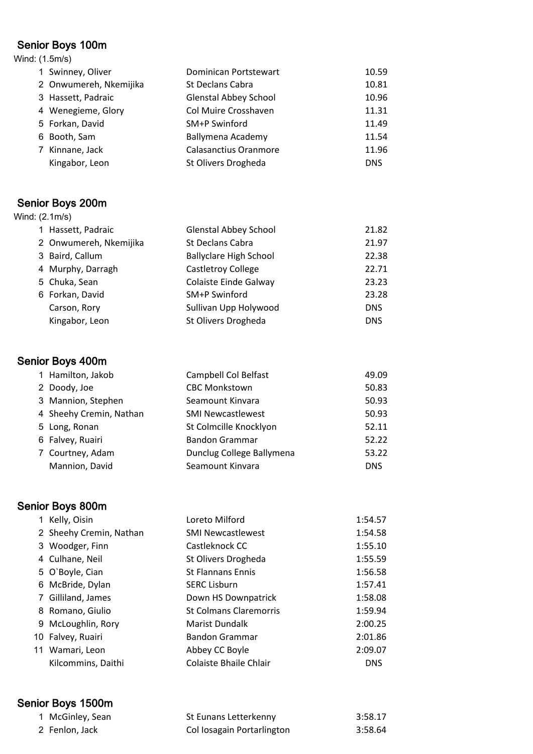#### Senior Boys 100m Wind: (1.5m/s)

| 1 Swinney, Oliver      | <b>Dominican Portstewart</b> | 10.59      |
|------------------------|------------------------------|------------|
| 2 Onwumereh, Nkemijika | St Declans Cabra             | 10.81      |
| 3 Hassett, Padraic     | <b>Glenstal Abbey School</b> | 10.96      |
| 4 Wenegieme, Glory     | Col Muire Crosshaven         | 11.31      |
| 5 Forkan, David        | SM+P Swinford                | 11.49      |
| 6 Booth, Sam           | Ballymena Academy            | 11.54      |
| 7 Kinnane, Jack        | <b>Calasanctius Oranmore</b> | 11.96      |
| Kingabor, Leon         | St Olivers Drogheda          | <b>DNS</b> |

# Senior Boys 200m

| Wind: (2.1m/s) |                        |                               |            |
|----------------|------------------------|-------------------------------|------------|
|                | 1 Hassett, Padraic     | <b>Glenstal Abbey School</b>  | 21.82      |
|                | 2 Onwumereh, Nkemijika | St Declans Cabra              | 21.97      |
|                | 3 Baird, Callum        | <b>Ballyclare High School</b> | 22.38      |
|                | 4 Murphy, Darragh      | <b>Castletroy College</b>     | 22.71      |
|                | 5 Chuka, Sean          | Colaiste Einde Galway         | 23.23      |
|                | 6 Forkan, David        | SM+P Swinford                 | 23.28      |
|                | Carson, Rory           | Sullivan Upp Holywood         | <b>DNS</b> |
|                | Kingabor, Leon         | St Olivers Drogheda           | <b>DNS</b> |

# Senior Boys 400m

|  | 1 Hamilton, Jakob       | Campbell Col Belfast      | 49.09      |
|--|-------------------------|---------------------------|------------|
|  | 2 Doody, Joe            | <b>CBC Monkstown</b>      | 50.83      |
|  | 3 Mannion, Stephen      | Seamount Kinvara          | 50.93      |
|  | 4 Sheehy Cremin, Nathan | <b>SMI Newcastlewest</b>  | 50.93      |
|  | 5 Long, Ronan           | St Colmcille Knocklyon    | 52.11      |
|  | 6 Falvey, Ruairi        | <b>Bandon Grammar</b>     | 52.22      |
|  | 7 Courtney, Adam        | Dunclug College Ballymena | 53.22      |
|  | Mannion, David          | Seamount Kinvara          | <b>DNS</b> |
|  |                         |                           |            |

# Senior Boys 800m

| 1 Kelly, Oisin          | Loreto Milford                | 1:54.57    |
|-------------------------|-------------------------------|------------|
| 2 Sheehy Cremin, Nathan | <b>SMI Newcastlewest</b>      | 1:54.58    |
| 3 Woodger, Finn         | Castleknock CC                | 1:55.10    |
| 4 Culhane, Neil         | St Olivers Drogheda           | 1:55.59    |
| 5 O'Boyle, Cian         | <b>St Flannans Ennis</b>      | 1:56.58    |
| 6 McBride, Dylan        | <b>SERC Lisburn</b>           | 1:57.41    |
| 7 Gilliland, James      | Down HS Downpatrick           | 1:58.08    |
| 8 Romano, Giulio        | <b>St Colmans Claremorris</b> | 1:59.94    |
| 9 McLoughlin, Rory      | <b>Marist Dundalk</b>         | 2:00.25    |
| 10 Falvey, Ruairi       | <b>Bandon Grammar</b>         | 2:01.86    |
| 11 Wamari, Leon         | Abbey CC Boyle                | 2:09.07    |
| Kilcommins, Daithi      | Colaiste Bhaile Chlair        | <b>DNS</b> |

# Senior Boys 1500m

| 1 McGinley, Sean | St Eunans Letterkenny      | 3:58.17 |
|------------------|----------------------------|---------|
| 2 Fenlon, Jack   | Col Iosagain Portarlington | 3:58.64 |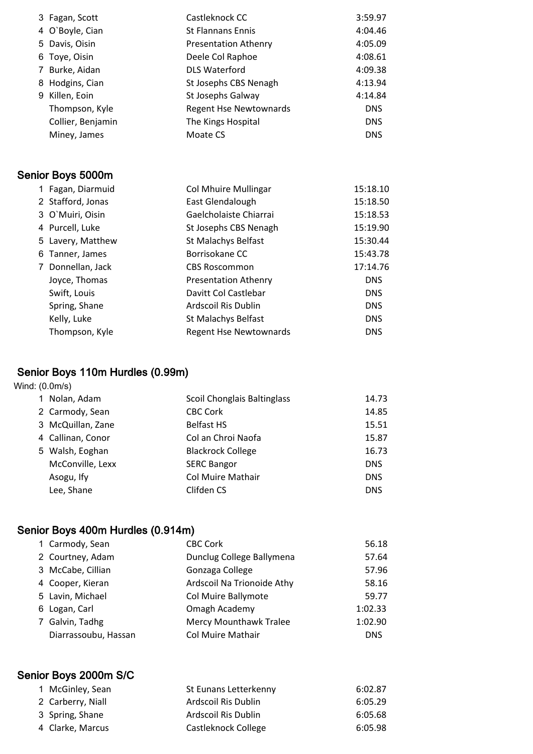|   | 3 Fagan, Scott    | Castleknock CC                | 3:59.97    |
|---|-------------------|-------------------------------|------------|
|   | 4 O'Boyle, Cian   | <b>St Flannans Ennis</b>      | 4:04.46    |
| 5 | Davis, Oisin      | <b>Presentation Athenry</b>   | 4:05.09    |
| 6 | Toye, Oisin       | Deele Col Raphoe              | 4:08.61    |
| 7 | Burke, Aidan      | <b>DLS Waterford</b>          | 4:09.38    |
| 8 | Hodgins, Cian     | St Josephs CBS Nenagh         | 4:13.94    |
|   | 9 Killen, Eoin    | St Josephs Galway             | 4:14.84    |
|   | Thompson, Kyle    | <b>Regent Hse Newtownards</b> | <b>DNS</b> |
|   | Collier, Benjamin | The Kings Hospital            | <b>DNS</b> |
|   | Miney, James      | Moate CS                      | <b>DNS</b> |
|   |                   |                               |            |
|   | Senior Boys 5000m |                               |            |
|   | 1 Fagan, Diarmuid | <b>Col Mhuire Mullingar</b>   | 15:18.10   |
|   | 2 Stafford, Jonas | East Glendalough              | 15:18.50   |
|   | 3 O'Muiri, Oisin  | Gaelcholaiste Chiarrai        | 15:18.53   |
|   | 4 Purcell, Luke   | St Josephs CBS Nenagh         | 15:19.90   |
|   | 5 Lavery, Matthew | St Malachys Belfast           | 15:30.44   |
|   | 6 Tanner, James   | Borrisokane CC                | 15:43.78   |
|   | 7 Donnellan, Jack | <b>CBS Roscommon</b>          | 17:14.76   |
|   | Joyce, Thomas     | <b>Presentation Athenry</b>   | <b>DNS</b> |
|   | Swift, Louis      | Davitt Col Castlebar          | <b>DNS</b> |
|   | Spring, Shane     | Ardscoil Ris Dublin           | <b>DNS</b> |
|   | Kelly, Luke       | St Malachys Belfast           | <b>DNS</b> |
|   | Thompson, Kyle    | <b>Regent Hse Newtownards</b> | <b>DNS</b> |

# Senior Boys 110m Hurdles (0.99m)

#### Wind: (0.0m/s)

|  | 1 Nolan, Adam     | <b>Scoil Chonglais Baltinglass</b> | 14.73      |
|--|-------------------|------------------------------------|------------|
|  | 2 Carmody, Sean   | <b>CBC Cork</b>                    | 14.85      |
|  | 3 McQuillan, Zane | <b>Belfast HS</b>                  | 15.51      |
|  | 4 Callinan, Conor | Col an Chroi Naofa                 | 15.87      |
|  | 5 Walsh, Eoghan   | <b>Blackrock College</b>           | 16.73      |
|  | McConville, Lexx  | <b>SERC Bangor</b>                 | <b>DNS</b> |
|  | Asogu, Ify        | <b>Col Muire Mathair</b>           | <b>DNS</b> |
|  | Lee, Shane        | Clifden CS                         | <b>DNS</b> |
|  |                   |                                    |            |

# Senior Boys 400m Hurdles (0.914m)

| 1 Carmody, Sean      | <b>CBC Cork</b>            | 56.18      |
|----------------------|----------------------------|------------|
| 2 Courtney, Adam     | Dunclug College Ballymena  | 57.64      |
| 3 McCabe, Cillian    | Gonzaga College            | 57.96      |
| 4 Cooper, Kieran     | Ardscoil Na Trionoide Athy | 58.16      |
| 5 Lavin, Michael     | Col Muire Ballymote        | 59.77      |
| 6 Logan, Carl        | Omagh Academy              | 1:02.33    |
| 7 Galvin, Tadhg      | Mercy Mounthawk Tralee     | 1:02.90    |
| Diarrassoubu, Hassan | <b>Col Muire Mathair</b>   | <b>DNS</b> |

# Senior Boys 2000m S/C

| 1 McGinley, Sean  | St Eunans Letterkenny | 6:02.87 |
|-------------------|-----------------------|---------|
| 2 Carberry, Niall | Ardscoil Ris Dublin   | 6:05.29 |
| 3 Spring, Shane   | Ardscoil Ris Dublin   | 6:05.68 |
| 4 Clarke, Marcus  | Castleknock College   | 6:05.98 |
|                   |                       |         |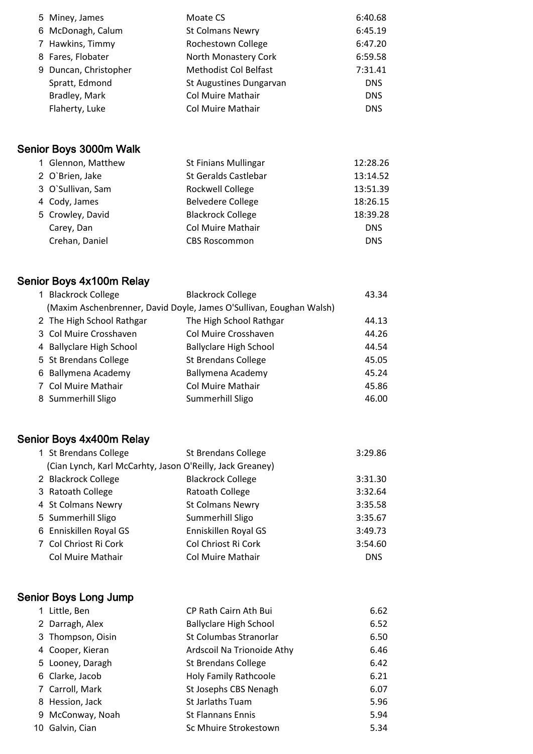|  | 5 Miney, James        | Moate CS                     | 6:40.68    |
|--|-----------------------|------------------------------|------------|
|  | 6 McDonagh, Calum     | <b>St Colmans Newry</b>      | 6:45.19    |
|  | 7 Hawkins, Timmy      | Rochestown College           | 6:47.20    |
|  | 8 Fares, Flobater     | North Monastery Cork         | 6:59.58    |
|  | 9 Duncan, Christopher | <b>Methodist Col Belfast</b> | 7:31.41    |
|  | Spratt, Edmond        | St Augustines Dungarvan      | <b>DNS</b> |
|  | Bradley, Mark         | Col Muire Mathair            | <b>DNS</b> |
|  | Flaherty, Luke        | <b>Col Muire Mathair</b>     | <b>DNS</b> |
|  |                       |                              |            |

# Senior Boys 3000m Walk

|  | 1 Glennon, Matthew | <b>St Finians Mullingar</b> | 12:28.26   |
|--|--------------------|-----------------------------|------------|
|  | 2 O'Brien, Jake    | <b>St Geralds Castlebar</b> | 13:14.52   |
|  | 3 O'Sullivan, Sam  | Rockwell College            | 13:51.39   |
|  | 4 Cody, James      | <b>Belvedere College</b>    | 18:26.15   |
|  | 5 Crowley, David   | <b>Blackrock College</b>    | 18:39.28   |
|  | Carey, Dan         | Col Muire Mathair           | <b>DNS</b> |
|  | Crehan, Daniel     | <b>CBS Roscommon</b>        | <b>DNS</b> |
|  |                    |                             |            |

# Senior Boys 4x100m Relay

| 1 Blackrock College       | <b>Blackrock College</b>                                            | 43.34 |
|---------------------------|---------------------------------------------------------------------|-------|
|                           | (Maxim Aschenbrenner, David Doyle, James O'Sullivan, Eoughan Walsh) |       |
| 2 The High School Rathgar | The High School Rathgar                                             | 44.13 |
| 3 Col Muire Crosshaven    | Col Muire Crosshaven                                                | 44.26 |
| 4 Ballyclare High School  | <b>Ballyclare High School</b>                                       | 44.54 |
| 5 St Brendans College     | <b>St Brendans College</b>                                          | 45.05 |
| 6 Ballymena Academy       | Ballymena Academy                                                   | 45.24 |
| 7 Col Muire Mathair       | Col Muire Mathair                                                   | 45.86 |
| 8 Summerhill Sligo        | Summerhill Sligo                                                    | 46.00 |

# Senior Boys 4x400m Relay

| 1 St Brendans College                                     | <b>St Brendans College</b> | 3:29.86    |
|-----------------------------------------------------------|----------------------------|------------|
| (Cian Lynch, Karl McCarhty, Jason O'Reilly, Jack Greaney) |                            |            |
| 2 Blackrock College                                       | <b>Blackrock College</b>   | 3:31.30    |
| 3 Ratoath College                                         | Ratoath College            | 3:32.64    |
| 4 St Colmans Newry                                        | <b>St Colmans Newry</b>    | 3:35.58    |
| 5 Summerhill Sligo                                        | Summerhill Sligo           | 3:35.67    |
| 6 Enniskillen Royal GS                                    | Enniskillen Royal GS       | 3:49.73    |
| 7 Col Chriost Ri Cork                                     | Col Chriost Ri Cork        | 3:54.60    |
| <b>Col Muire Mathair</b>                                  | <b>Col Muire Mathair</b>   | <b>DNS</b> |

# Senior Boys Long Jump

|    | 1 Little, Ben     | CP Rath Cairn Ath Bui         | 6.62 |
|----|-------------------|-------------------------------|------|
|    | 2 Darragh, Alex   | <b>Ballyclare High School</b> | 6.52 |
|    | 3 Thompson, Oisin | St Columbas Stranorlar        | 6.50 |
|    | 4 Cooper, Kieran  | Ardscoil Na Trionoide Athy    | 6.46 |
|    | 5 Looney, Daragh  | <b>St Brendans College</b>    | 6.42 |
|    | 6 Clarke, Jacob   | <b>Holy Family Rathcoole</b>  | 6.21 |
|    | 7 Carroll, Mark   | St Josephs CBS Nenagh         | 6.07 |
|    | 8 Hession, Jack   | <b>St Jarlaths Tuam</b>       | 5.96 |
|    | 9 McConway, Noah  | <b>St Flannans Ennis</b>      | 5.94 |
| 10 | Galvin, Cian      | Sc Mhuire Strokestown         | 5.34 |
|    |                   |                               |      |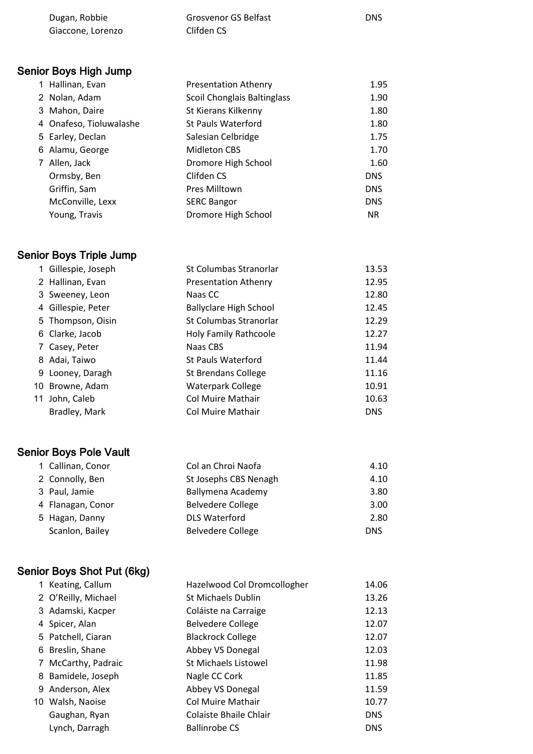| Dugan, Robbie     | Grosvenor GS Belfast | <b>DNS</b> |
|-------------------|----------------------|------------|
| Giaccone, Lorenzo | Clifden CS           |            |

# Senior Boys High Jump

| 1 Hallinan, Evan        | <b>Presentation Athenry</b> | 1.95       |
|-------------------------|-----------------------------|------------|
| 2 Nolan, Adam           | Scoil Chonglais Baltinglass | 1.90       |
| 3 Mahon, Daire          | St Kierans Kilkenny         | 1.80       |
| 4 Onafeso, Tioluwalashe | <b>St Pauls Waterford</b>   | 1.80       |
| 5 Earley, Declan        | Salesian Celbridge          | 1.75       |
| 6 Alamu, George         | Midleton CBS                | 1.70       |
| 7 Allen, Jack           | Dromore High School         | 1.60       |
| Ormsby, Ben             | Clifden CS                  | <b>DNS</b> |
| Griffin, Sam            | Pres Milltown               | <b>DNS</b> |
| McConville, Lexx        | <b>SERC Bangor</b>          | <b>DNS</b> |
| Young, Travis           | Dromore High School         | <b>NR</b>  |

# Senior Boys Triple Jump

| 1 Gillespie, Joseph | St Columbas Stranorlar        | 13.53      |
|---------------------|-------------------------------|------------|
| 2 Hallinan, Evan    | <b>Presentation Athenry</b>   | 12.95      |
| 3 Sweeney, Leon     | Naas CC                       | 12.80      |
| 4 Gillespie, Peter  | <b>Ballyclare High School</b> | 12.45      |
| 5 Thompson, Oisin   | St Columbas Stranorlar        | 12.29      |
| 6 Clarke, Jacob     | <b>Holy Family Rathcoole</b>  | 12.27      |
| 7 Casey, Peter      | Naas CBS                      | 11.94      |
| 8 Adai, Taiwo       | St Pauls Waterford            | 11.44      |
| 9 Looney, Daragh    | <b>St Brendans College</b>    | 11.16      |
| 10 Browne, Adam     | <b>Waterpark College</b>      | 10.91      |
| 11 John, Caleb      | Col Muire Mathair             | 10.63      |
| Bradley, Mark       | Col Muire Mathair             | <b>DNS</b> |
|                     |                               |            |

# Senior Boys Pole Vault

| 1 Callinan, Conor | Col an Chroi Naofa       | 4.10       |
|-------------------|--------------------------|------------|
| 2 Connolly, Ben   | St Josephs CBS Nenagh    | 4.10       |
| 3 Paul, Jamie     | Ballymena Academy        | 3.80       |
| 4 Flanagan, Conor | <b>Belvedere College</b> | 3.00       |
| 5 Hagan, Danny    | <b>DLS Waterford</b>     | 2.80       |
| Scanlon, Bailey   | <b>Belvedere College</b> | <b>DNS</b> |

# Senior Boys Shot Put (6kg)

| 1 Keating, Callum   | Hazelwood Col Dromcollogher   | 14.06      |
|---------------------|-------------------------------|------------|
| 2 O'Reilly, Michael | <b>St Michaels Dublin</b>     | 13.26      |
| 3 Adamski, Kacper   | Coláiste na Carraige          | 12.13      |
| 4 Spicer, Alan      | <b>Belvedere College</b>      | 12.07      |
| 5 Patchell, Ciaran  | <b>Blackrock College</b>      | 12.07      |
| 6 Breslin, Shane    | Abbey VS Donegal              | 12.03      |
| 7 McCarthy, Padraic | St Michaels Listowel          | 11.98      |
| 8 Bamidele, Joseph  | Nagle CC Cork                 | 11.85      |
| 9 Anderson, Alex    | Abbey VS Donegal              | 11.59      |
| 10 Walsh, Naoise    | <b>Col Muire Mathair</b>      | 10.77      |
| Gaughan, Ryan       | <b>Colaiste Bhaile Chlair</b> | <b>DNS</b> |
| Lynch, Darragh      | <b>Ballinrobe CS</b>          | <b>DNS</b> |
|                     |                               |            |